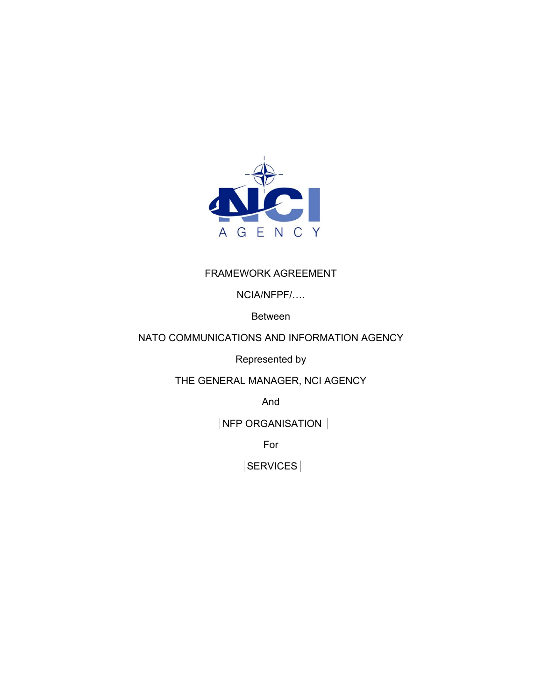

#### FRAMEWORK AGREEMENT

NCIA/NFPF/….

Between

#### NATO COMMUNICATIONS AND INFORMATION AGENCY

Represented by

THE GENERAL MANAGER, NCI AGENCY

And

**NFP ORGANISATION** 

For

SERVICES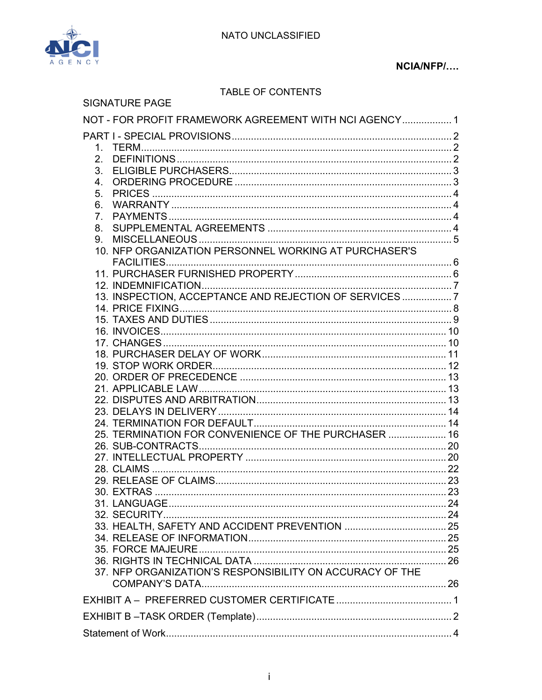

#### NCIA/NFP/....

#### TABLE OF CONTENTS

| <b>SIGNATURE PAGE</b>                                                                                                                                                                                                                                   |  |
|---------------------------------------------------------------------------------------------------------------------------------------------------------------------------------------------------------------------------------------------------------|--|
| NOT - FOR PROFIT FRAMEWORK AGREEMENT WITH NCI AGENCY 1                                                                                                                                                                                                  |  |
| 2.<br>3.<br>$4_{-}$<br>5.<br>6.<br>7 <sub>1</sub><br>8.<br>9.<br>10. NFP ORGANIZATION PERSONNEL WORKING AT PURCHASER'S<br>13. INSPECTION, ACCEPTANCE AND REJECTION OF SERVICES  7<br>25. TERMINATION FOR CONVENIENCE OF THE PURCHASER  16<br>30. EXTRAS |  |
|                                                                                                                                                                                                                                                         |  |
| 37. NFP ORGANIZATION'S RESPONSIBILITY ON ACCURACY OF THE                                                                                                                                                                                                |  |
|                                                                                                                                                                                                                                                         |  |
|                                                                                                                                                                                                                                                         |  |
|                                                                                                                                                                                                                                                         |  |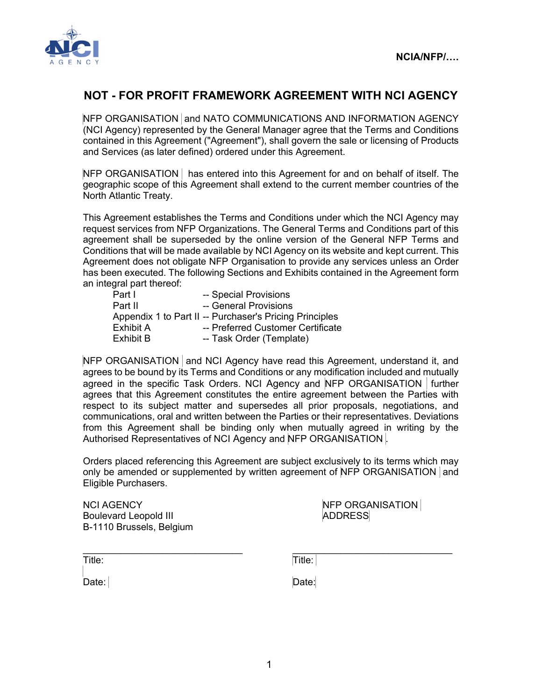

## **NOT - FOR PROFIT FRAMEWORK AGREEMENT WITH NCI AGENCY**

NFP ORGANISATION and NATO COMMUNICATIONS AND INFORMATION AGENCY (NCI Agency) represented by the General Manager agree that the Terms and Conditions contained in this Agreement ("Agreement"), shall govern the sale or licensing of Products and Services (as later defined) ordered under this Agreement.

NFP ORGANISATION | has entered into this Agreement for and on behalf of itself. The geographic scope of this Agreement shall extend to the current member countries of the North Atlantic Treaty.

This Agreement establishes the Terms and Conditions under which the NCI Agency may request services from NFP Organizations. The General Terms and Conditions part of this agreement shall be superseded by the online version of the General NFP Terms and Conditions that will be made available by NCI Agency on its website and kept current. This Agreement does not obligate NFP Organisation to provide any services unless an Order has been executed. The following Sections and Exhibits contained in the Agreement form an integral part thereof:

| -- Special Provisions                                   |
|---------------------------------------------------------|
| -- General Provisions                                   |
| Appendix 1 to Part II -- Purchaser's Pricing Principles |
| -- Preferred Customer Certificate                       |
| -- Task Order (Template)                                |
|                                                         |

NFP ORGANISATION and NCI Agency have read this Agreement, understand it, and agrees to be bound by its Terms and Conditions or any modification included and mutually agreed in the specific Task Orders. NCI Agency and NFP ORGANISATION further agrees that this Agreement constitutes the entire agreement between the Parties with respect to its subject matter and supersedes all prior proposals, negotiations, and communications, oral and written between the Parties or their representatives. Deviations from this Agreement shall be binding only when mutually agreed in writing by the Authorised Representatives of NCI Agency and NFP ORGANISATION .

Orders placed referencing this Agreement are subject exclusively to its terms which may only be amended or supplemented by written agreement of NFP ORGANISATION and Eligible Purchasers.

 $\_$ 

NCI AGENCY **NEP ORGANISATION** Boulevard Leopold III ADDRESS B-1110 Brussels, Belgium

Title: Title:

Date: **Date:** Date: **Date: Date: Date:**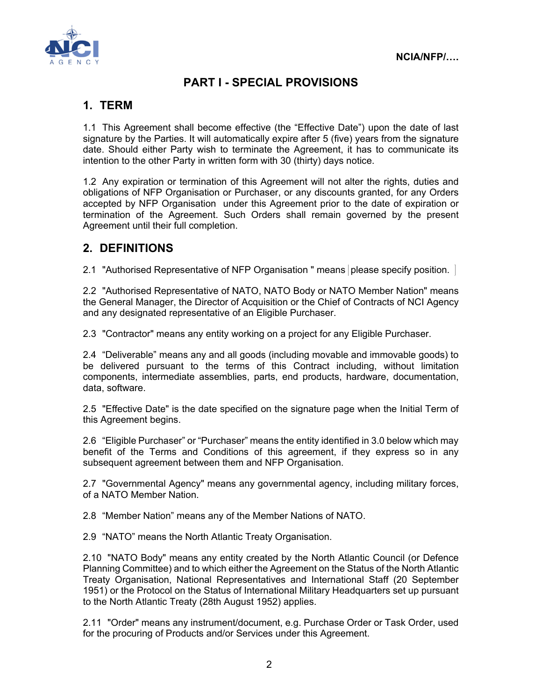

# **PART I - SPECIAL PROVISIONS**

# **1. TERM**

1.1 This Agreement shall become effective (the "Effective Date") upon the date of last signature by the Parties. It will automatically expire after 5 (five) years from the signature date. Should either Party wish to terminate the Agreement, it has to communicate its intention to the other Party in written form with 30 (thirty) days notice.

1.2 Any expiration or termination of this Agreement will not alter the rights, duties and obligations of NFP Organisation or Purchaser, or any discounts granted, for any Orders accepted by NFP Organisation under this Agreement prior to the date of expiration or termination of the Agreement. Such Orders shall remain governed by the present Agreement until their full completion.

## **2. DEFINITIONS**

2.1 "Authorised Representative of NFP Organisation " means please specify position.

2.2 "Authorised Representative of NATO, NATO Body or NATO Member Nation" means the General Manager, the Director of Acquisition or the Chief of Contracts of NCI Agency and any designated representative of an Eligible Purchaser.

2.3 "Contractor" means any entity working on a project for any Eligible Purchaser.

2.4 "Deliverable" means any and all goods (including movable and immovable goods) to be delivered pursuant to the terms of this Contract including, without limitation components, intermediate assemblies, parts, end products, hardware, documentation, data, software.

2.5 "Effective Date" is the date specified on the signature page when the Initial Term of this Agreement begins.

2.6 "Eligible Purchaser" or "Purchaser" means the entity identified in 3.0 below which may benefit of the Terms and Conditions of this agreement, if they express so in any subsequent agreement between them and NFP Organisation.

2.7 "Governmental Agency" means any governmental agency, including military forces, of a NATO Member Nation.

2.8 "Member Nation" means any of the Member Nations of NATO.

2.9 "NATO" means the North Atlantic Treaty Organisation.

2.10 "NATO Body" means any entity created by the North Atlantic Council (or Defence Planning Committee) and to which either the Agreement on the Status of the North Atlantic Treaty Organisation, National Representatives and International Staff (20 September 1951) or the Protocol on the Status of International Military Headquarters set up pursuant to the North Atlantic Treaty (28th August 1952) applies.

2.11 "Order" means any instrument/document, e.g. Purchase Order or Task Order, used for the procuring of Products and/or Services under this Agreement.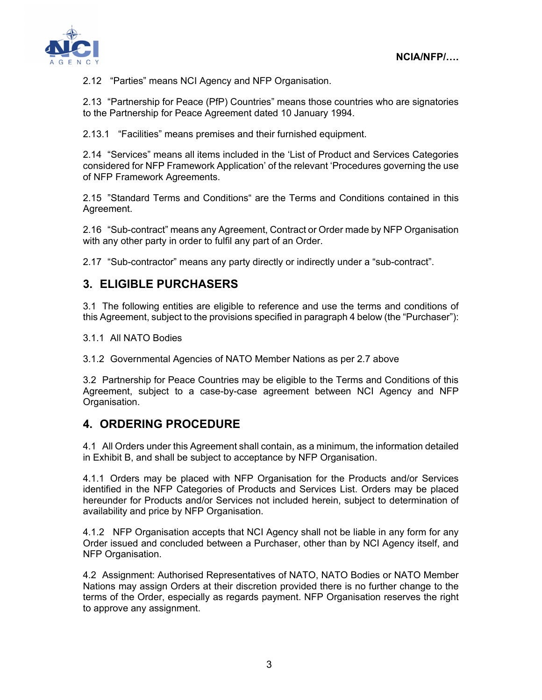

2.12 "Parties" means NCI Agency and NFP Organisation.

2.13 "Partnership for Peace (PfP) Countries" means those countries who are signatories to the Partnership for Peace Agreement dated 10 January 1994.

2.13.1 "Facilities" means premises and their furnished equipment.

2.14 "Services" means all items included in the 'List of Product and Services Categories considered for NFP Framework Application' of the relevant 'Procedures governing the use of NFP Framework Agreements.

2.15 "Standard Terms and Conditions" are the Terms and Conditions contained in this Agreement.

2.16 "Sub-contract" means any Agreement, Contract or Order made by NFP Organisation with any other party in order to fulfil any part of an Order.

2.17 "Sub-contractor" means any party directly or indirectly under a "sub-contract".

#### **3. ELIGIBLE PURCHASERS**

3.1 The following entities are eligible to reference and use the terms and conditions of this Agreement, subject to the provisions specified in paragraph 4 below (the "Purchaser"):

3.1.1 All NATO Bodies

3.1.2 Governmental Agencies of NATO Member Nations as per 2.7 above

3.2 Partnership for Peace Countries may be eligible to the Terms and Conditions of this Agreement, subject to a case-by-case agreement between NCI Agency and NFP Organisation.

#### **4. ORDERING PROCEDURE**

4.1 All Orders under this Agreement shall contain, as a minimum, the information detailed in Exhibit B, and shall be subject to acceptance by NFP Organisation.

4.1.1 Orders may be placed with NFP Organisation for the Products and/or Services identified in the NFP Categories of Products and Services List. Orders may be placed hereunder for Products and/or Services not included herein, subject to determination of availability and price by NFP Organisation.

4.1.2 NFP Organisation accepts that NCI Agency shall not be liable in any form for any Order issued and concluded between a Purchaser, other than by NCI Agency itself, and NFP Organisation.

4.2 Assignment: Authorised Representatives of NATO, NATO Bodies or NATO Member Nations may assign Orders at their discretion provided there is no further change to the terms of the Order, especially as regards payment. NFP Organisation reserves the right to approve any assignment.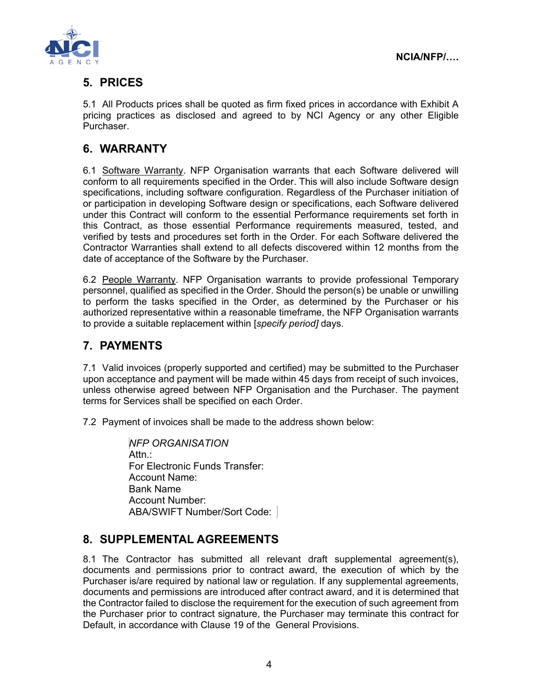

# **5. PRICES**

5.1 All Products prices shall be quoted as firm fixed prices in accordance with Exhibit A pricing practices as disclosed and agreed to by NCI Agency or any other Eligible Purchaser.

## **6. WARRANTY**

6.1 Software Warranty. NFP Organisation warrants that each Software delivered will conform to all requirements specified in the Order. This will also include Software design specifications, including software configuration. Regardless of the Purchaser initiation of or participation in developing Software design or specifications, each Software delivered under this Contract will conform to the essential Performance requirements set forth in this Contract, as those essential Performance requirements measured, tested, and verified by tests and procedures set forth in the Order. For each Software delivered the Contractor Warranties shall extend to all defects discovered within 12 months from the date of acceptance of the Software by the Purchaser.

6.2 People Warranty. NFP Organisation warrants to provide professional Temporary personnel, qualified as specified in the Order. Should the person(s) be unable or unwilling to perform the tasks specified in the Order, as determined by the Purchaser or his authorized representative within a reasonable timeframe, the NFP Organisation warrants to provide a suitable replacement within [*specify period]* days.

# **7. PAYMENTS**

7.1 Valid invoices (properly supported and certified) may be submitted to the Purchaser upon acceptance and payment will be made within 45 days from receipt of such invoices, unless otherwise agreed between NFP Organisation and the Purchaser. The payment terms for Services shall be specified on each Order.

7.2 Payment of invoices shall be made to the address shown below:

 *NFP ORGANISATION* Attn.: For Electronic Funds Transfer: Account Name: Bank Name Account Number: ABA/SWIFT Number/Sort Code:

# **8. SUPPLEMENTAL AGREEMENTS**

8.1 The Contractor has submitted all relevant draft supplemental agreement(s), documents and permissions prior to contract award, the execution of which by the Purchaser is/are required by national law or regulation. If any supplemental agreements, documents and permissions are introduced after contract award, and it is determined that the Contractor failed to disclose the requirement for the execution of such agreement from the Purchaser prior to contract signature, the Purchaser may terminate this contract for Default, in accordance with Clause 19 of the General Provisions.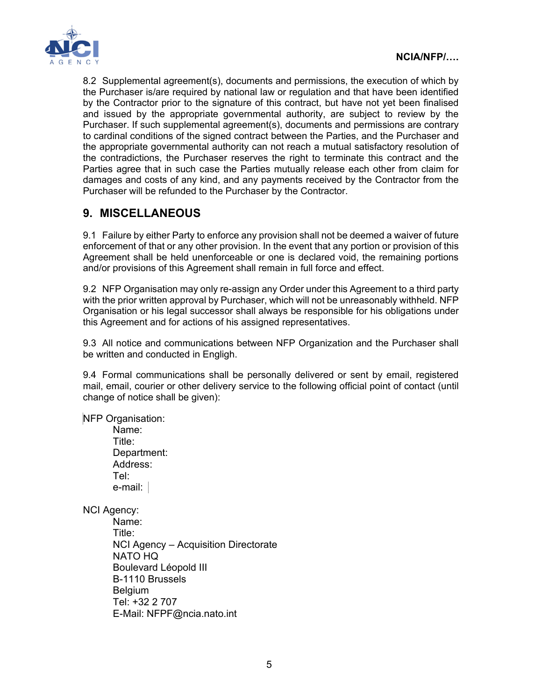

8.2 Supplemental agreement(s), documents and permissions, the execution of which by the Purchaser is/are required by national law or regulation and that have been identified by the Contractor prior to the signature of this contract, but have not yet been finalised and issued by the appropriate governmental authority, are subject to review by the Purchaser. If such supplemental agreement(s), documents and permissions are contrary to cardinal conditions of the signed contract between the Parties, and the Purchaser and the appropriate governmental authority can not reach a mutual satisfactory resolution of the contradictions, the Purchaser reserves the right to terminate this contract and the Parties agree that in such case the Parties mutually release each other from claim for damages and costs of any kind, and any payments received by the Contractor from the Purchaser will be refunded to the Purchaser by the Contractor.

## **9. MISCELLANEOUS**

9.1 Failure by either Party to enforce any provision shall not be deemed a waiver of future enforcement of that or any other provision. In the event that any portion or provision of this Agreement shall be held unenforceable or one is declared void, the remaining portions and/or provisions of this Agreement shall remain in full force and effect.

9.2 NFP Organisation may only re-assign any Order under this Agreement to a third party with the prior written approval by Purchaser, which will not be unreasonably withheld. NFP Organisation or his legal successor shall always be responsible for his obligations under this Agreement and for actions of his assigned representatives.

9.3 All notice and communications between NFP Organization and the Purchaser shall be written and conducted in Engligh.

9.4 Formal communications shall be personally delivered or sent by email, registered mail, email, courier or other delivery service to the following official point of contact (until change of notice shall be given):

NFP Organisation:

Name: Title: Department: Address: Tel: e-mail:

NCI Agency:

Name: Title: NCI Agency – Acquisition Directorate NATO HQ Boulevard Léopold III B-1110 Brussels **Belgium** Tel: +32 2 707 E-Mail: NFPF@ncia.nato.int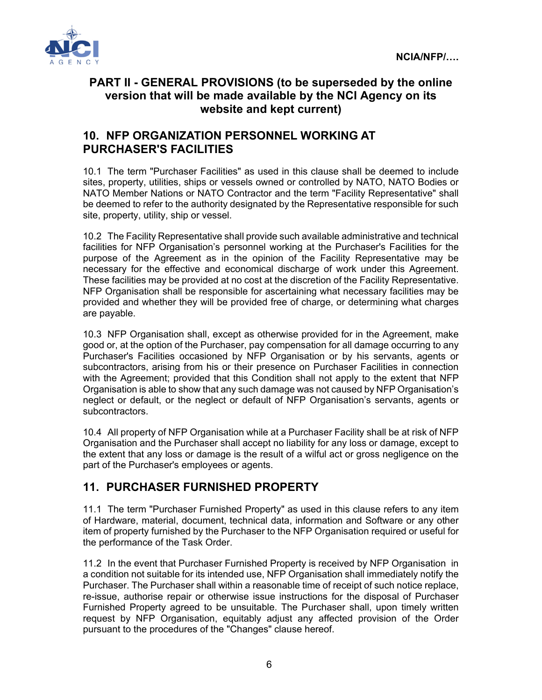

## **PART II - GENERAL PROVISIONS (to be superseded by the online version that will be made available by the NCI Agency on its website and kept current)**

### **10. NFP ORGANIZATION PERSONNEL WORKING AT PURCHASER'S FACILITIES**

10.1 The term "Purchaser Facilities" as used in this clause shall be deemed to include sites, property, utilities, ships or vessels owned or controlled by NATO, NATO Bodies or NATO Member Nations or NATO Contractor and the term "Facility Representative" shall be deemed to refer to the authority designated by the Representative responsible for such site, property, utility, ship or vessel.

10.2 The Facility Representative shall provide such available administrative and technical facilities for NFP Organisation's personnel working at the Purchaser's Facilities for the purpose of the Agreement as in the opinion of the Facility Representative may be necessary for the effective and economical discharge of work under this Agreement. These facilities may be provided at no cost at the discretion of the Facility Representative. NFP Organisation shall be responsible for ascertaining what necessary facilities may be provided and whether they will be provided free of charge, or determining what charges are payable.

10.3 NFP Organisation shall, except as otherwise provided for in the Agreement, make good or, at the option of the Purchaser, pay compensation for all damage occurring to any Purchaser's Facilities occasioned by NFP Organisation or by his servants, agents or subcontractors, arising from his or their presence on Purchaser Facilities in connection with the Agreement; provided that this Condition shall not apply to the extent that NFP Organisation is able to show that any such damage was not caused by NFP Organisation's neglect or default, or the neglect or default of NFP Organisation's servants, agents or subcontractors.

10.4 All property of NFP Organisation while at a Purchaser Facility shall be at risk of NFP Organisation and the Purchaser shall accept no liability for any loss or damage, except to the extent that any loss or damage is the result of a wilful act or gross negligence on the part of the Purchaser's employees or agents.

# **11. PURCHASER FURNISHED PROPERTY**

11.1 The term "Purchaser Furnished Property" as used in this clause refers to any item of Hardware, material, document, technical data, information and Software or any other item of property furnished by the Purchaser to the NFP Organisation required or useful for the performance of the Task Order.

11.2 In the event that Purchaser Furnished Property is received by NFP Organisation in a condition not suitable for its intended use, NFP Organisation shall immediately notify the Purchaser. The Purchaser shall within a reasonable time of receipt of such notice replace, re-issue, authorise repair or otherwise issue instructions for the disposal of Purchaser Furnished Property agreed to be unsuitable. The Purchaser shall, upon timely written request by NFP Organisation, equitably adjust any affected provision of the Order pursuant to the procedures of the "Changes" clause hereof.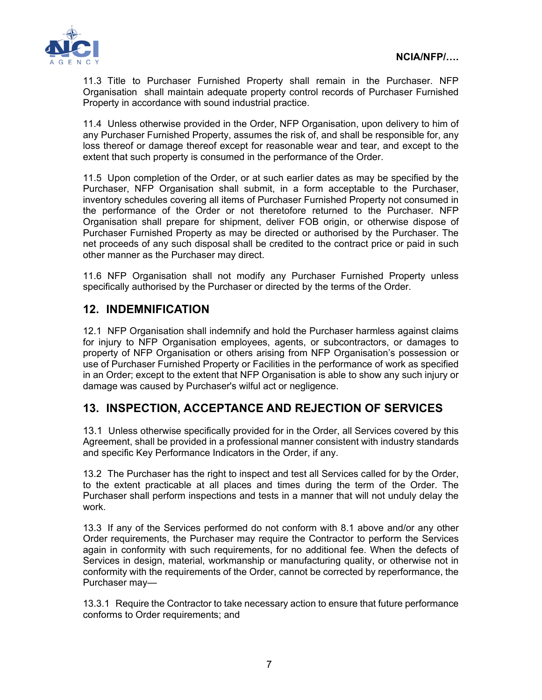

11.3 Title to Purchaser Furnished Property shall remain in the Purchaser. NFP Organisation shall maintain adequate property control records of Purchaser Furnished Property in accordance with sound industrial practice.

11.4 Unless otherwise provided in the Order, NFP Organisation, upon delivery to him of any Purchaser Furnished Property, assumes the risk of, and shall be responsible for, any loss thereof or damage thereof except for reasonable wear and tear, and except to the extent that such property is consumed in the performance of the Order.

11.5 Upon completion of the Order, or at such earlier dates as may be specified by the Purchaser, NFP Organisation shall submit, in a form acceptable to the Purchaser, inventory schedules covering all items of Purchaser Furnished Property not consumed in the performance of the Order or not theretofore returned to the Purchaser. NFP Organisation shall prepare for shipment, deliver FOB origin, or otherwise dispose of Purchaser Furnished Property as may be directed or authorised by the Purchaser. The net proceeds of any such disposal shall be credited to the contract price or paid in such other manner as the Purchaser may direct.

11.6 NFP Organisation shall not modify any Purchaser Furnished Property unless specifically authorised by the Purchaser or directed by the terms of the Order.

#### **12. INDEMNIFICATION**

12.1 NFP Organisation shall indemnify and hold the Purchaser harmless against claims for injury to NFP Organisation employees, agents, or subcontractors, or damages to property of NFP Organisation or others arising from NFP Organisation's possession or use of Purchaser Furnished Property or Facilities in the performance of work as specified in an Order; except to the extent that NFP Organisation is able to show any such injury or damage was caused by Purchaser's wilful act or negligence.

## **13. INSPECTION, ACCEPTANCE AND REJECTION OF SERVICES**

13.1 Unless otherwise specifically provided for in the Order, all Services covered by this Agreement, shall be provided in a professional manner consistent with industry standards and specific Key Performance Indicators in the Order, if any.

13.2 The Purchaser has the right to inspect and test all Services called for by the Order, to the extent practicable at all places and times during the term of the Order. The Purchaser shall perform inspections and tests in a manner that will not unduly delay the work.

13.3 If any of the Services performed do not conform with 8.1 above and/or any other Order requirements, the Purchaser may require the Contractor to perform the Services again in conformity with such requirements, for no additional fee. When the defects of Services in design, material, workmanship or manufacturing quality, or otherwise not in conformity with the requirements of the Order, cannot be corrected by reperformance, the Purchaser may—

13.3.1 Require the Contractor to take necessary action to ensure that future performance conforms to Order requirements; and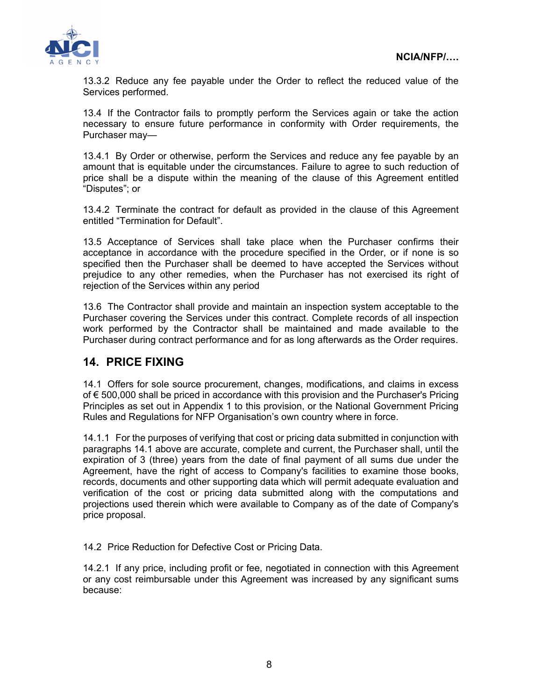

13.3.2 Reduce any fee payable under the Order to reflect the reduced value of the Services performed.

13.4 If the Contractor fails to promptly perform the Services again or take the action necessary to ensure future performance in conformity with Order requirements, the Purchaser may—

13.4.1 By Order or otherwise, perform the Services and reduce any fee payable by an amount that is equitable under the circumstances. Failure to agree to such reduction of price shall be a dispute within the meaning of the clause of this Agreement entitled "Disputes"; or

13.4.2 Terminate the contract for default as provided in the clause of this Agreement entitled "Termination for Default".

13.5 Acceptance of Services shall take place when the Purchaser confirms their acceptance in accordance with the procedure specified in the Order, or if none is so specified then the Purchaser shall be deemed to have accepted the Services without prejudice to any other remedies, when the Purchaser has not exercised its right of rejection of the Services within any period

13.6 The Contractor shall provide and maintain an inspection system acceptable to the Purchaser covering the Services under this contract. Complete records of all inspection work performed by the Contractor shall be maintained and made available to the Purchaser during contract performance and for as long afterwards as the Order requires.

#### **14. PRICE FIXING**

14.1 Offers for sole source procurement, changes, modifications, and claims in excess of € 500,000 shall be priced in accordance with this provision and the Purchaser's Pricing Principles as set out in Appendix 1 to this provision, or the National Government Pricing Rules and Regulations for NFP Organisation's own country where in force.

14.1.1 For the purposes of verifying that cost or pricing data submitted in conjunction with paragraphs 14.1 above are accurate, complete and current, the Purchaser shall, until the expiration of 3 (three) years from the date of final payment of all sums due under the Agreement, have the right of access to Company's facilities to examine those books, records, documents and other supporting data which will permit adequate evaluation and verification of the cost or pricing data submitted along with the computations and projections used therein which were available to Company as of the date of Company's price proposal.

14.2 Price Reduction for Defective Cost or Pricing Data.

14.2.1 If any price, including profit or fee, negotiated in connection with this Agreement or any cost reimbursable under this Agreement was increased by any significant sums because: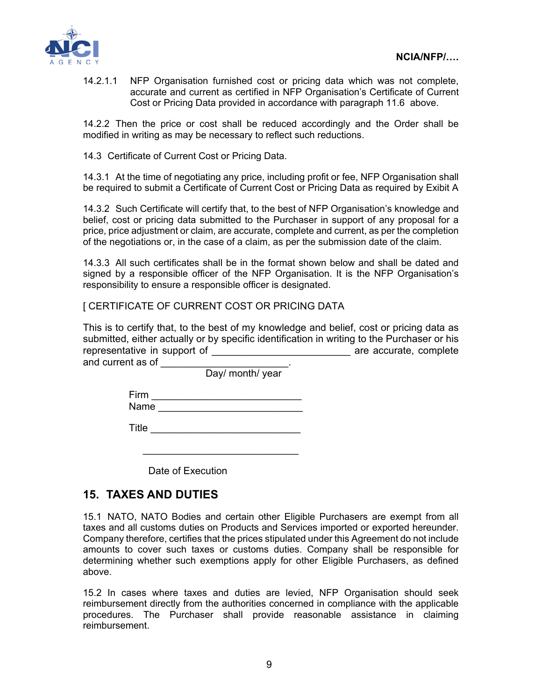

14.2.1.1 NFP Organisation furnished cost or pricing data which was not complete, accurate and current as certified in NFP Organisation's Certificate of Current Cost or Pricing Data provided in accordance with paragraph 11.6 above.

14.2.2 Then the price or cost shall be reduced accordingly and the Order shall be modified in writing as may be necessary to reflect such reductions.

14.3 Certificate of Current Cost or Pricing Data.

14.3.1 At the time of negotiating any price, including profit or fee, NFP Organisation shall be required to submit a Certificate of Current Cost or Pricing Data as required by Exibit A

14.3.2 Such Certificate will certify that, to the best of NFP Organisation's knowledge and belief, cost or pricing data submitted to the Purchaser in support of any proposal for a price, price adjustment or claim, are accurate, complete and current, as per the completion of the negotiations or, in the case of a claim, as per the submission date of the claim.

14.3.3 All such certificates shall be in the format shown below and shall be dated and signed by a responsible officer of the NFP Organisation. It is the NFP Organisation's responsibility to ensure a responsible officer is designated.

[ CERTIFICATE OF CURRENT COST OR PRICING DATA

This is to certify that, to the best of my knowledge and belief, cost or pricing data as submitted, either actually or by specific identification in writing to the Purchaser or his representative in support of the subset of the same accurate, complete and current as of

Day/ month/ year

| .    |  |
|------|--|
| Name |  |

Title \_\_\_\_\_\_\_\_\_\_\_\_\_\_\_\_\_\_\_\_\_\_\_\_\_\_\_

Date of Execution

 $\mathcal{L}_\text{max}$  , which is a set of the set of the set of the set of the set of the set of the set of the set of the set of the set of the set of the set of the set of the set of the set of the set of the set of the set of

#### **15. TAXES AND DUTIES**

15.1 NATO, NATO Bodies and certain other Eligible Purchasers are exempt from all taxes and all customs duties on Products and Services imported or exported hereunder. Company therefore, certifies that the prices stipulated under this Agreement do not include amounts to cover such taxes or customs duties. Company shall be responsible for determining whether such exemptions apply for other Eligible Purchasers, as defined above.

15.2 In cases where taxes and duties are levied, NFP Organisation should seek reimbursement directly from the authorities concerned in compliance with the applicable procedures. The Purchaser shall provide reasonable assistance in claiming reimbursement.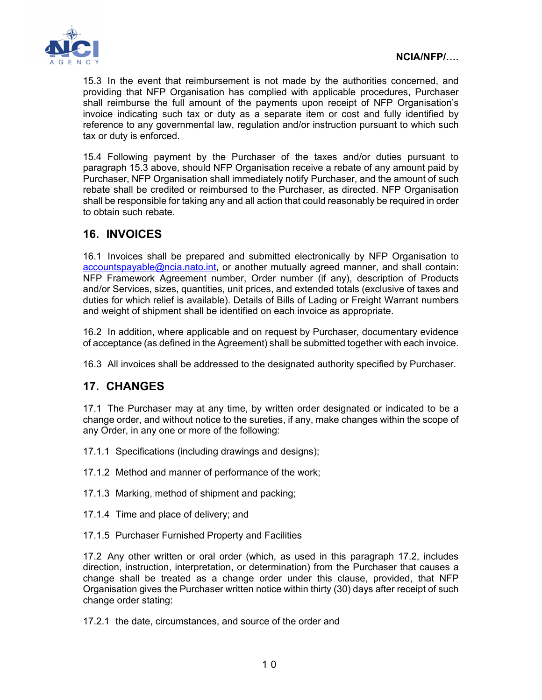

15.3 In the event that reimbursement is not made by the authorities concerned, and providing that NFP Organisation has complied with applicable procedures, Purchaser shall reimburse the full amount of the payments upon receipt of NFP Organisation's invoice indicating such tax or duty as a separate item or cost and fully identified by reference to any governmental law, regulation and/or instruction pursuant to which such tax or duty is enforced.

15.4 Following payment by the Purchaser of the taxes and/or duties pursuant to paragraph 15.3 above, should NFP Organisation receive a rebate of any amount paid by Purchaser, NFP Organisation shall immediately notify Purchaser, and the amount of such rebate shall be credited or reimbursed to the Purchaser, as directed. NFP Organisation shall be responsible for taking any and all action that could reasonably be required in order to obtain such rebate.

# **16. INVOICES**

16.1 Invoices shall be prepared and submitted electronically by NFP Organisation to accountspayable@ncia.nato.int, or another mutually agreed manner, and shall contain: NFP Framework Agreement number, Order number (if any), description of Products and/or Services, sizes, quantities, unit prices, and extended totals (exclusive of taxes and duties for which relief is available). Details of Bills of Lading or Freight Warrant numbers and weight of shipment shall be identified on each invoice as appropriate.

16.2 In addition, where applicable and on request by Purchaser, documentary evidence of acceptance (as defined in the Agreement) shall be submitted together with each invoice.

16.3 All invoices shall be addressed to the designated authority specified by Purchaser.

# **17. CHANGES**

17.1 The Purchaser may at any time, by written order designated or indicated to be a change order, and without notice to the sureties, if any, make changes within the scope of any Order, in any one or more of the following:

17.1.1 Specifications (including drawings and designs);

17.1.2 Method and manner of performance of the work;

17.1.3 Marking, method of shipment and packing;

17.1.4 Time and place of delivery; and

17.1.5 Purchaser Furnished Property and Facilities

17.2 Any other written or oral order (which, as used in this paragraph 17.2, includes direction, instruction, interpretation, or determination) from the Purchaser that causes a change shall be treated as a change order under this clause, provided, that NFP Organisation gives the Purchaser written notice within thirty (30) days after receipt of such change order stating:

17.2.1 the date, circumstances, and source of the order and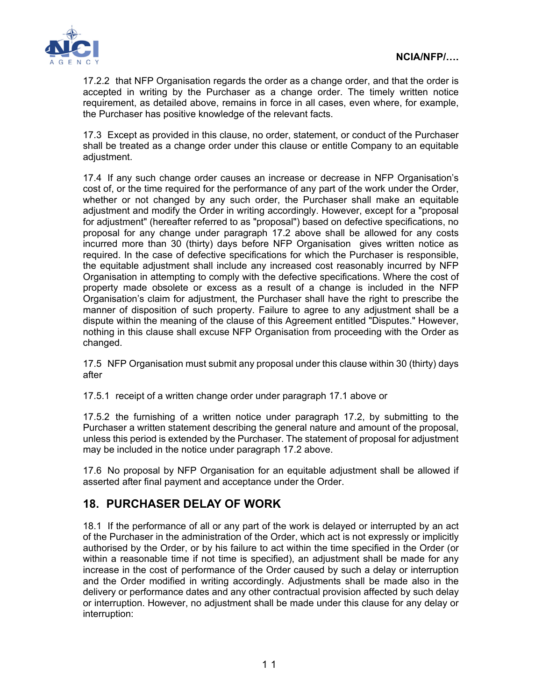

17.2.2 that NFP Organisation regards the order as a change order, and that the order is accepted in writing by the Purchaser as a change order. The timely written notice requirement, as detailed above, remains in force in all cases, even where, for example, the Purchaser has positive knowledge of the relevant facts.

17.3 Except as provided in this clause, no order, statement, or conduct of the Purchaser shall be treated as a change order under this clause or entitle Company to an equitable adjustment.

17.4 If any such change order causes an increase or decrease in NFP Organisation's cost of, or the time required for the performance of any part of the work under the Order, whether or not changed by any such order, the Purchaser shall make an equitable adjustment and modify the Order in writing accordingly. However, except for a "proposal for adjustment" (hereafter referred to as "proposal") based on defective specifications, no proposal for any change under paragraph 17.2 above shall be allowed for any costs incurred more than 30 (thirty) days before NFP Organisation gives written notice as required. In the case of defective specifications for which the Purchaser is responsible, the equitable adjustment shall include any increased cost reasonably incurred by NFP Organisation in attempting to comply with the defective specifications. Where the cost of property made obsolete or excess as a result of a change is included in the NFP Organisation's claim for adjustment, the Purchaser shall have the right to prescribe the manner of disposition of such property. Failure to agree to any adjustment shall be a dispute within the meaning of the clause of this Agreement entitled "Disputes." However, nothing in this clause shall excuse NFP Organisation from proceeding with the Order as changed.

17.5 NFP Organisation must submit any proposal under this clause within 30 (thirty) days after

17.5.1 receipt of a written change order under paragraph 17.1 above or

17.5.2 the furnishing of a written notice under paragraph 17.2, by submitting to the Purchaser a written statement describing the general nature and amount of the proposal, unless this period is extended by the Purchaser. The statement of proposal for adjustment may be included in the notice under paragraph 17.2 above.

17.6 No proposal by NFP Organisation for an equitable adjustment shall be allowed if asserted after final payment and acceptance under the Order.

## **18. PURCHASER DELAY OF WORK**

18.1 If the performance of all or any part of the work is delayed or interrupted by an act of the Purchaser in the administration of the Order, which act is not expressly or implicitly authorised by the Order, or by his failure to act within the time specified in the Order (or within a reasonable time if not time is specified), an adjustment shall be made for any increase in the cost of performance of the Order caused by such a delay or interruption and the Order modified in writing accordingly. Adjustments shall be made also in the delivery or performance dates and any other contractual provision affected by such delay or interruption. However, no adjustment shall be made under this clause for any delay or interruption: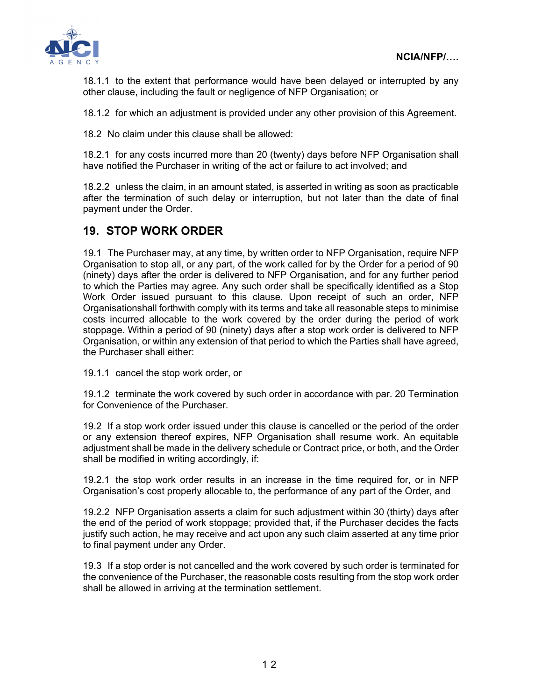

18.1.1 to the extent that performance would have been delayed or interrupted by any other clause, including the fault or negligence of NFP Organisation; or

18.1.2 for which an adjustment is provided under any other provision of this Agreement.

18.2 No claim under this clause shall be allowed:

18.2.1 for any costs incurred more than 20 (twenty) days before NFP Organisation shall have notified the Purchaser in writing of the act or failure to act involved; and

18.2.2 unless the claim, in an amount stated, is asserted in writing as soon as practicable after the termination of such delay or interruption, but not later than the date of final payment under the Order.

#### **19. STOP WORK ORDER**

19.1 The Purchaser may, at any time, by written order to NFP Organisation, require NFP Organisation to stop all, or any part, of the work called for by the Order for a period of 90 (ninety) days after the order is delivered to NFP Organisation, and for any further period to which the Parties may agree. Any such order shall be specifically identified as a Stop Work Order issued pursuant to this clause. Upon receipt of such an order, NFP Organisationshall forthwith comply with its terms and take all reasonable steps to minimise costs incurred allocable to the work covered by the order during the period of work stoppage. Within a period of 90 (ninety) days after a stop work order is delivered to NFP Organisation, or within any extension of that period to which the Parties shall have agreed, the Purchaser shall either:

19.1.1 cancel the stop work order, or

19.1.2 terminate the work covered by such order in accordance with par. 20 Termination for Convenience of the Purchaser.

19.2 If a stop work order issued under this clause is cancelled or the period of the order or any extension thereof expires, NFP Organisation shall resume work. An equitable adjustment shall be made in the delivery schedule or Contract price, or both, and the Order shall be modified in writing accordingly, if:

19.2.1 the stop work order results in an increase in the time required for, or in NFP Organisation's cost properly allocable to, the performance of any part of the Order, and

19.2.2 NFP Organisation asserts a claim for such adjustment within 30 (thirty) days after the end of the period of work stoppage; provided that, if the Purchaser decides the facts justify such action, he may receive and act upon any such claim asserted at any time prior to final payment under any Order.

19.3 If a stop order is not cancelled and the work covered by such order is terminated for the convenience of the Purchaser, the reasonable costs resulting from the stop work order shall be allowed in arriving at the termination settlement.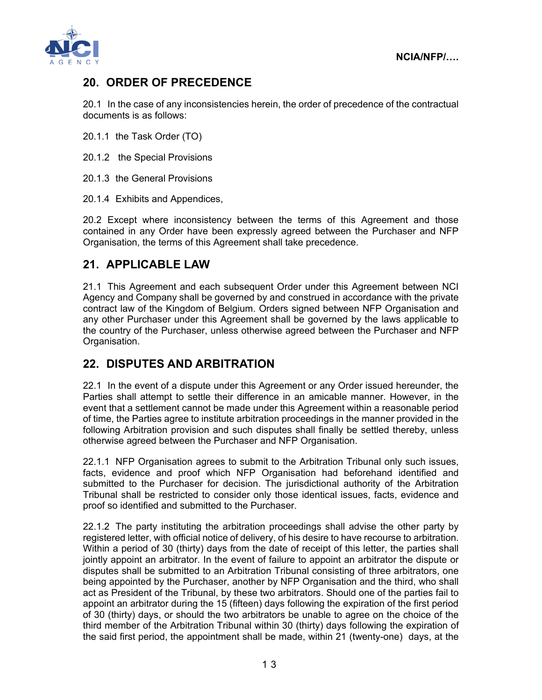**NCIA/NFP/….** 



# **20. ORDER OF PRECEDENCE**

20.1 In the case of any inconsistencies herein, the order of precedence of the contractual documents is as follows:

20.1.1 the Task Order (TO)

20.1.2 the Special Provisions

20.1.3 the General Provisions

20.1.4 Exhibits and Appendices,

20.2 Except where inconsistency between the terms of this Agreement and those contained in any Order have been expressly agreed between the Purchaser and NFP Organisation, the terms of this Agreement shall take precedence.

### **21. APPLICABLE LAW**

21.1 This Agreement and each subsequent Order under this Agreement between NCI Agency and Company shall be governed by and construed in accordance with the private contract law of the Kingdom of Belgium. Orders signed between NFP Organisation and any other Purchaser under this Agreement shall be governed by the laws applicable to the country of the Purchaser, unless otherwise agreed between the Purchaser and NFP Organisation.

## **22. DISPUTES AND ARBITRATION**

22.1 In the event of a dispute under this Agreement or any Order issued hereunder, the Parties shall attempt to settle their difference in an amicable manner. However, in the event that a settlement cannot be made under this Agreement within a reasonable period of time, the Parties agree to institute arbitration proceedings in the manner provided in the following Arbitration provision and such disputes shall finally be settled thereby, unless otherwise agreed between the Purchaser and NFP Organisation.

22.1.1 NFP Organisation agrees to submit to the Arbitration Tribunal only such issues, facts, evidence and proof which NFP Organisation had beforehand identified and submitted to the Purchaser for decision. The jurisdictional authority of the Arbitration Tribunal shall be restricted to consider only those identical issues, facts, evidence and proof so identified and submitted to the Purchaser.

22.1.2 The party instituting the arbitration proceedings shall advise the other party by registered letter, with official notice of delivery, of his desire to have recourse to arbitration. Within a period of 30 (thirty) days from the date of receipt of this letter, the parties shall jointly appoint an arbitrator. In the event of failure to appoint an arbitrator the dispute or disputes shall be submitted to an Arbitration Tribunal consisting of three arbitrators, one being appointed by the Purchaser, another by NFP Organisation and the third, who shall act as President of the Tribunal, by these two arbitrators. Should one of the parties fail to appoint an arbitrator during the 15 (fifteen) days following the expiration of the first period of 30 (thirty) days, or should the two arbitrators be unable to agree on the choice of the third member of the Arbitration Tribunal within 30 (thirty) days following the expiration of the said first period, the appointment shall be made, within 21 (twenty-one) days, at the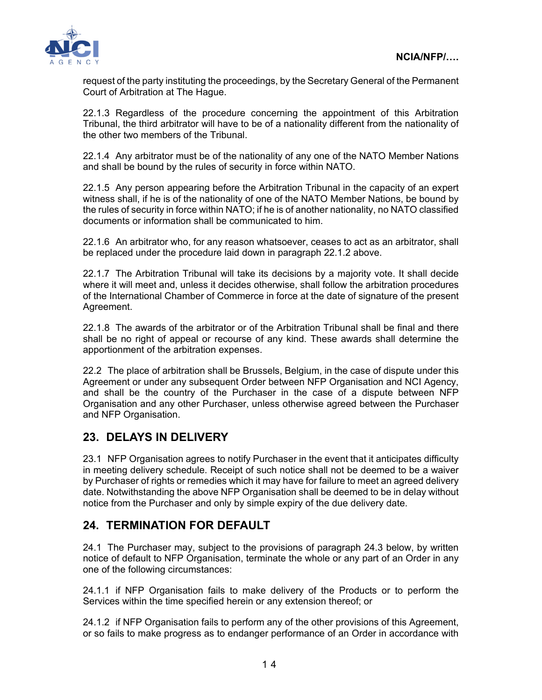

request of the party instituting the proceedings, by the Secretary General of the Permanent Court of Arbitration at The Hague.

22.1.3 Regardless of the procedure concerning the appointment of this Arbitration Tribunal, the third arbitrator will have to be of a nationality different from the nationality of the other two members of the Tribunal.

22.1.4 Any arbitrator must be of the nationality of any one of the NATO Member Nations and shall be bound by the rules of security in force within NATO.

22.1.5 Any person appearing before the Arbitration Tribunal in the capacity of an expert witness shall, if he is of the nationality of one of the NATO Member Nations, be bound by the rules of security in force within NATO; if he is of another nationality, no NATO classified documents or information shall be communicated to him.

22.1.6 An arbitrator who, for any reason whatsoever, ceases to act as an arbitrator, shall be replaced under the procedure laid down in paragraph 22.1.2 above.

22.1.7 The Arbitration Tribunal will take its decisions by a majority vote. It shall decide where it will meet and, unless it decides otherwise, shall follow the arbitration procedures of the International Chamber of Commerce in force at the date of signature of the present Agreement.

22.1.8 The awards of the arbitrator or of the Arbitration Tribunal shall be final and there shall be no right of appeal or recourse of any kind. These awards shall determine the apportionment of the arbitration expenses.

22.2 The place of arbitration shall be Brussels, Belgium, in the case of dispute under this Agreement or under any subsequent Order between NFP Organisation and NCI Agency, and shall be the country of the Purchaser in the case of a dispute between NFP Organisation and any other Purchaser, unless otherwise agreed between the Purchaser and NFP Organisation.

## **23. DELAYS IN DELIVERY**

23.1 NFP Organisation agrees to notify Purchaser in the event that it anticipates difficulty in meeting delivery schedule. Receipt of such notice shall not be deemed to be a waiver by Purchaser of rights or remedies which it may have for failure to meet an agreed delivery date. Notwithstanding the above NFP Organisation shall be deemed to be in delay without notice from the Purchaser and only by simple expiry of the due delivery date.

## **24. TERMINATION FOR DEFAULT**

24.1 The Purchaser may, subject to the provisions of paragraph 24.3 below, by written notice of default to NFP Organisation, terminate the whole or any part of an Order in any one of the following circumstances:

24.1.1 if NFP Organisation fails to make delivery of the Products or to perform the Services within the time specified herein or any extension thereof; or

24.1.2 if NFP Organisation fails to perform any of the other provisions of this Agreement, or so fails to make progress as to endanger performance of an Order in accordance with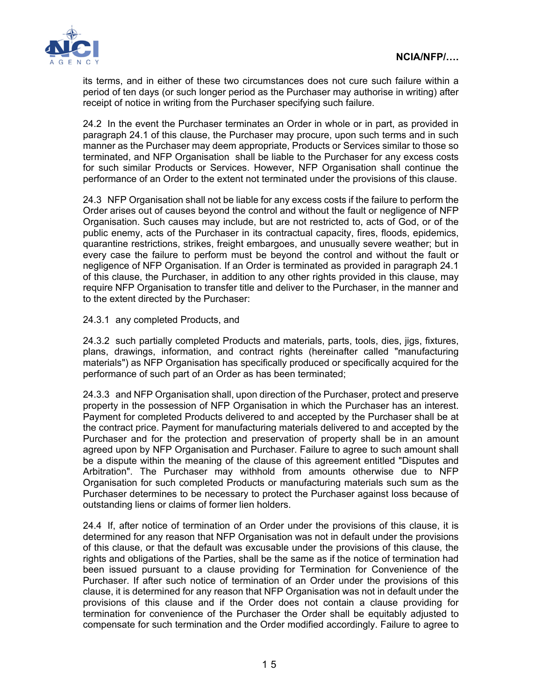

its terms, and in either of these two circumstances does not cure such failure within a period of ten days (or such longer period as the Purchaser may authorise in writing) after receipt of notice in writing from the Purchaser specifying such failure.

24.2 In the event the Purchaser terminates an Order in whole or in part, as provided in paragraph 24.1 of this clause, the Purchaser may procure, upon such terms and in such manner as the Purchaser may deem appropriate, Products or Services similar to those so terminated, and NFP Organisation shall be liable to the Purchaser for any excess costs for such similar Products or Services. However, NFP Organisation shall continue the performance of an Order to the extent not terminated under the provisions of this clause.

24.3 NFP Organisation shall not be liable for any excess costs if the failure to perform the Order arises out of causes beyond the control and without the fault or negligence of NFP Organisation. Such causes may include, but are not restricted to, acts of God, or of the public enemy, acts of the Purchaser in its contractual capacity, fires, floods, epidemics, quarantine restrictions, strikes, freight embargoes, and unusually severe weather; but in every case the failure to perform must be beyond the control and without the fault or negligence of NFP Organisation. If an Order is terminated as provided in paragraph 24.1 of this clause, the Purchaser, in addition to any other rights provided in this clause, may require NFP Organisation to transfer title and deliver to the Purchaser, in the manner and to the extent directed by the Purchaser:

24.3.1 any completed Products, and

24.3.2 such partially completed Products and materials, parts, tools, dies, jigs, fixtures, plans, drawings, information, and contract rights (hereinafter called "manufacturing materials") as NFP Organisation has specifically produced or specifically acquired for the performance of such part of an Order as has been terminated;

24.3.3 and NFP Organisation shall, upon direction of the Purchaser, protect and preserve property in the possession of NFP Organisation in which the Purchaser has an interest. Payment for completed Products delivered to and accepted by the Purchaser shall be at the contract price. Payment for manufacturing materials delivered to and accepted by the Purchaser and for the protection and preservation of property shall be in an amount agreed upon by NFP Organisation and Purchaser. Failure to agree to such amount shall be a dispute within the meaning of the clause of this agreement entitled "Disputes and Arbitration". The Purchaser may withhold from amounts otherwise due to NFP Organisation for such completed Products or manufacturing materials such sum as the Purchaser determines to be necessary to protect the Purchaser against loss because of outstanding liens or claims of former lien holders.

24.4 If, after notice of termination of an Order under the provisions of this clause, it is determined for any reason that NFP Organisation was not in default under the provisions of this clause, or that the default was excusable under the provisions of this clause, the rights and obligations of the Parties, shall be the same as if the notice of termination had been issued pursuant to a clause providing for Termination for Convenience of the Purchaser. If after such notice of termination of an Order under the provisions of this clause, it is determined for any reason that NFP Organisation was not in default under the provisions of this clause and if the Order does not contain a clause providing for termination for convenience of the Purchaser the Order shall be equitably adjusted to compensate for such termination and the Order modified accordingly. Failure to agree to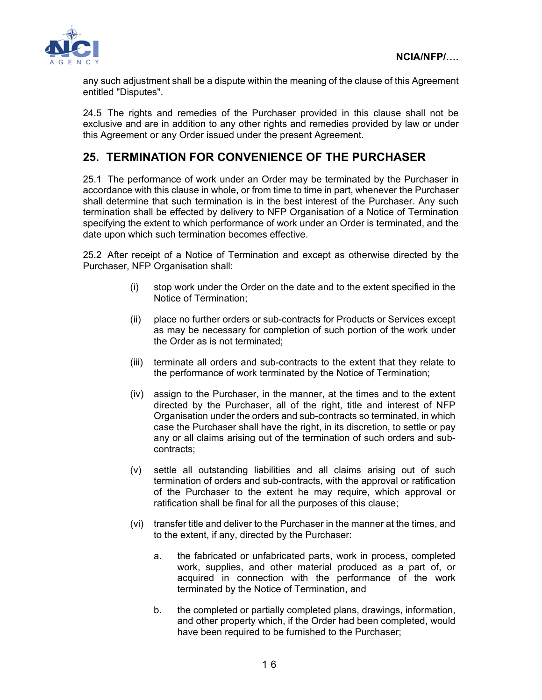

any such adjustment shall be a dispute within the meaning of the clause of this Agreement entitled "Disputes".

24.5 The rights and remedies of the Purchaser provided in this clause shall not be exclusive and are in addition to any other rights and remedies provided by law or under this Agreement or any Order issued under the present Agreement.

# **25. TERMINATION FOR CONVENIENCE OF THE PURCHASER**

25.1 The performance of work under an Order may be terminated by the Purchaser in accordance with this clause in whole, or from time to time in part, whenever the Purchaser shall determine that such termination is in the best interest of the Purchaser. Any such termination shall be effected by delivery to NFP Organisation of a Notice of Termination specifying the extent to which performance of work under an Order is terminated, and the date upon which such termination becomes effective.

25.2 After receipt of a Notice of Termination and except as otherwise directed by the Purchaser, NFP Organisation shall:

- (i) stop work under the Order on the date and to the extent specified in the Notice of Termination;
- (ii) place no further orders or sub-contracts for Products or Services except as may be necessary for completion of such portion of the work under the Order as is not terminated;
- (iii) terminate all orders and sub-contracts to the extent that they relate to the performance of work terminated by the Notice of Termination;
- (iv) assign to the Purchaser, in the manner, at the times and to the extent directed by the Purchaser, all of the right, title and interest of NFP Organisation under the orders and sub-contracts so terminated, in which case the Purchaser shall have the right, in its discretion, to settle or pay any or all claims arising out of the termination of such orders and subcontracts;
- (v) settle all outstanding liabilities and all claims arising out of such termination of orders and sub-contracts, with the approval or ratification of the Purchaser to the extent he may require, which approval or ratification shall be final for all the purposes of this clause;
- (vi) transfer title and deliver to the Purchaser in the manner at the times, and to the extent, if any, directed by the Purchaser:
	- a. the fabricated or unfabricated parts, work in process, completed work, supplies, and other material produced as a part of, or acquired in connection with the performance of the work terminated by the Notice of Termination, and
	- b. the completed or partially completed plans, drawings, information, and other property which, if the Order had been completed, would have been required to be furnished to the Purchaser;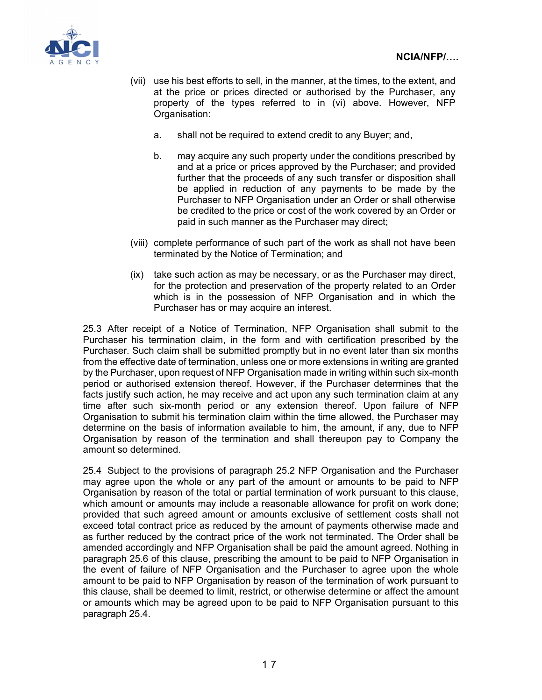

- (vii) use his best efforts to sell, in the manner, at the times, to the extent, and at the price or prices directed or authorised by the Purchaser, any property of the types referred to in (vi) above. However, NFP Organisation:
	- a. shall not be required to extend credit to any Buyer; and,
	- b. may acquire any such property under the conditions prescribed by and at a price or prices approved by the Purchaser; and provided further that the proceeds of any such transfer or disposition shall be applied in reduction of any payments to be made by the Purchaser to NFP Organisation under an Order or shall otherwise be credited to the price or cost of the work covered by an Order or paid in such manner as the Purchaser may direct;
- (viii) complete performance of such part of the work as shall not have been terminated by the Notice of Termination; and
- (ix) take such action as may be necessary, or as the Purchaser may direct, for the protection and preservation of the property related to an Order which is in the possession of NFP Organisation and in which the Purchaser has or may acquire an interest.

25.3 After receipt of a Notice of Termination, NFP Organisation shall submit to the Purchaser his termination claim, in the form and with certification prescribed by the Purchaser. Such claim shall be submitted promptly but in no event later than six months from the effective date of termination, unless one or more extensions in writing are granted by the Purchaser, upon request of NFP Organisation made in writing within such six-month period or authorised extension thereof. However, if the Purchaser determines that the facts justify such action, he may receive and act upon any such termination claim at any time after such six-month period or any extension thereof. Upon failure of NFP Organisation to submit his termination claim within the time allowed, the Purchaser may determine on the basis of information available to him, the amount, if any, due to NFP Organisation by reason of the termination and shall thereupon pay to Company the amount so determined.

25.4 Subject to the provisions of paragraph 25.2 NFP Organisation and the Purchaser may agree upon the whole or any part of the amount or amounts to be paid to NFP Organisation by reason of the total or partial termination of work pursuant to this clause, which amount or amounts may include a reasonable allowance for profit on work done; provided that such agreed amount or amounts exclusive of settlement costs shall not exceed total contract price as reduced by the amount of payments otherwise made and as further reduced by the contract price of the work not terminated. The Order shall be amended accordingly and NFP Organisation shall be paid the amount agreed. Nothing in paragraph 25.6 of this clause, prescribing the amount to be paid to NFP Organisation in the event of failure of NFP Organisation and the Purchaser to agree upon the whole amount to be paid to NFP Organisation by reason of the termination of work pursuant to this clause, shall be deemed to limit, restrict, or otherwise determine or affect the amount or amounts which may be agreed upon to be paid to NFP Organisation pursuant to this paragraph 25.4.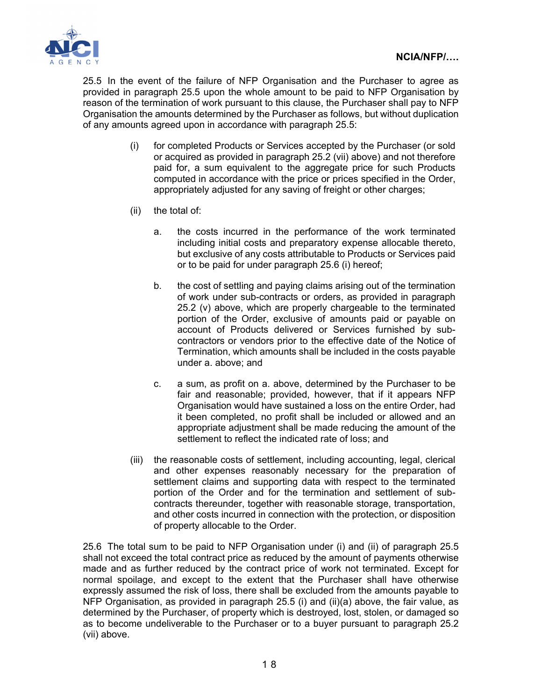

25.5 In the event of the failure of NFP Organisation and the Purchaser to agree as provided in paragraph 25.5 upon the whole amount to be paid to NFP Organisation by reason of the termination of work pursuant to this clause, the Purchaser shall pay to NFP Organisation the amounts determined by the Purchaser as follows, but without duplication of any amounts agreed upon in accordance with paragraph 25.5:

- (i) for completed Products or Services accepted by the Purchaser (or sold or acquired as provided in paragraph 25.2 (vii) above) and not therefore paid for, a sum equivalent to the aggregate price for such Products computed in accordance with the price or prices specified in the Order, appropriately adjusted for any saving of freight or other charges;
- (ii) the total of:
	- a. the costs incurred in the performance of the work terminated including initial costs and preparatory expense allocable thereto, but exclusive of any costs attributable to Products or Services paid or to be paid for under paragraph 25.6 (i) hereof;
	- b. the cost of settling and paying claims arising out of the termination of work under sub-contracts or orders, as provided in paragraph 25.2 (v) above, which are properly chargeable to the terminated portion of the Order, exclusive of amounts paid or payable on account of Products delivered or Services furnished by subcontractors or vendors prior to the effective date of the Notice of Termination, which amounts shall be included in the costs payable under a. above; and
	- c. a sum, as profit on a. above, determined by the Purchaser to be fair and reasonable; provided, however, that if it appears NFP Organisation would have sustained a loss on the entire Order, had it been completed, no profit shall be included or allowed and an appropriate adjustment shall be made reducing the amount of the settlement to reflect the indicated rate of loss; and
- (iii) the reasonable costs of settlement, including accounting, legal, clerical and other expenses reasonably necessary for the preparation of settlement claims and supporting data with respect to the terminated portion of the Order and for the termination and settlement of subcontracts thereunder, together with reasonable storage, transportation, and other costs incurred in connection with the protection, or disposition of property allocable to the Order.

25.6 The total sum to be paid to NFP Organisation under (i) and (ii) of paragraph 25.5 shall not exceed the total contract price as reduced by the amount of payments otherwise made and as further reduced by the contract price of work not terminated. Except for normal spoilage, and except to the extent that the Purchaser shall have otherwise expressly assumed the risk of loss, there shall be excluded from the amounts payable to NFP Organisation, as provided in paragraph 25.5 (i) and (ii)(a) above, the fair value, as determined by the Purchaser, of property which is destroyed, lost, stolen, or damaged so as to become undeliverable to the Purchaser or to a buyer pursuant to paragraph 25.2 (vii) above.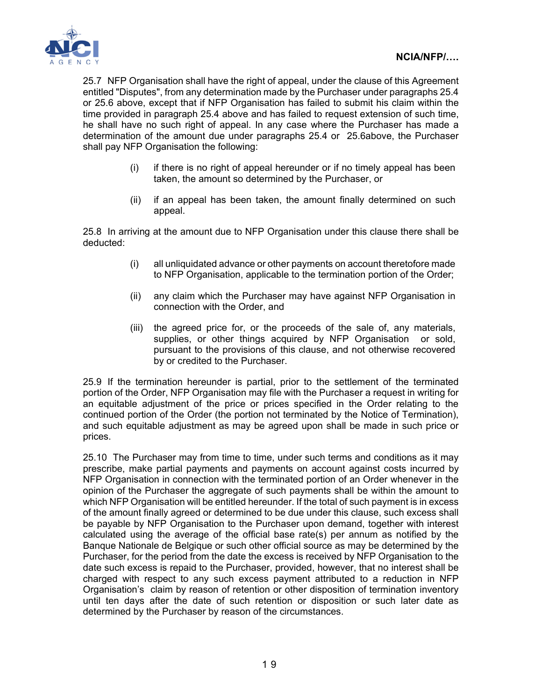

25.7 NFP Organisation shall have the right of appeal, under the clause of this Agreement entitled "Disputes", from any determination made by the Purchaser under paragraphs 25.4 or 25.6 above, except that if NFP Organisation has failed to submit his claim within the time provided in paragraph 25.4 above and has failed to request extension of such time, he shall have no such right of appeal. In any case where the Purchaser has made a determination of the amount due under paragraphs 25.4 or 25.6above, the Purchaser shall pay NFP Organisation the following:

- (i) if there is no right of appeal hereunder or if no timely appeal has been taken, the amount so determined by the Purchaser, or
- (ii) if an appeal has been taken, the amount finally determined on such appeal.

25.8 In arriving at the amount due to NFP Organisation under this clause there shall be deducted:

- (i) all unliquidated advance or other payments on account theretofore made to NFP Organisation, applicable to the termination portion of the Order;
- (ii) any claim which the Purchaser may have against NFP Organisation in connection with the Order, and
- (iii) the agreed price for, or the proceeds of the sale of, any materials, supplies, or other things acquired by NFP Organisation or sold, pursuant to the provisions of this clause, and not otherwise recovered by or credited to the Purchaser.

25.9 If the termination hereunder is partial, prior to the settlement of the terminated portion of the Order, NFP Organisation may file with the Purchaser a request in writing for an equitable adjustment of the price or prices specified in the Order relating to the continued portion of the Order (the portion not terminated by the Notice of Termination), and such equitable adjustment as may be agreed upon shall be made in such price or prices.

25.10 The Purchaser may from time to time, under such terms and conditions as it may prescribe, make partial payments and payments on account against costs incurred by NFP Organisation in connection with the terminated portion of an Order whenever in the opinion of the Purchaser the aggregate of such payments shall be within the amount to which NFP Organisation will be entitled hereunder. If the total of such payment is in excess of the amount finally agreed or determined to be due under this clause, such excess shall be payable by NFP Organisation to the Purchaser upon demand, together with interest calculated using the average of the official base rate(s) per annum as notified by the Banque Nationale de Belgique or such other official source as may be determined by the Purchaser, for the period from the date the excess is received by NFP Organisation to the date such excess is repaid to the Purchaser, provided, however, that no interest shall be charged with respect to any such excess payment attributed to a reduction in NFP Organisation's claim by reason of retention or other disposition of termination inventory until ten days after the date of such retention or disposition or such later date as determined by the Purchaser by reason of the circumstances.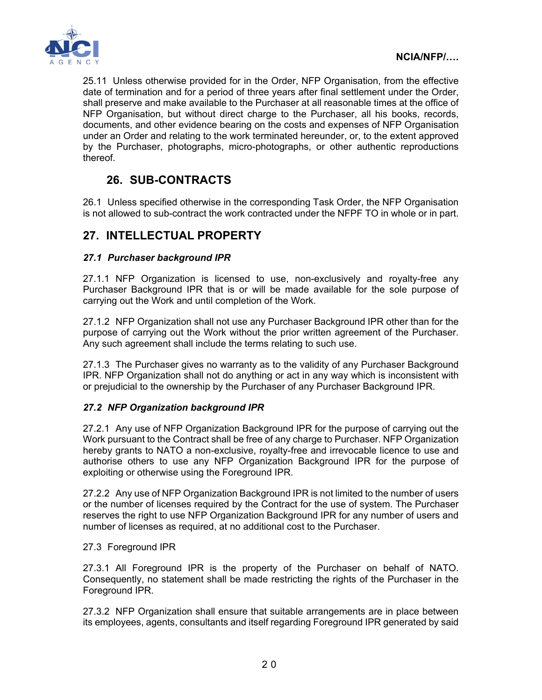

25.11 Unless otherwise provided for in the Order, NFP Organisation, from the effective date of termination and for a period of three years after final settlement under the Order, shall preserve and make available to the Purchaser at all reasonable times at the office of NFP Organisation, but without direct charge to the Purchaser, all his books, records, documents, and other evidence bearing on the costs and expenses of NFP Organisation under an Order and relating to the work terminated hereunder, or, to the extent approved by the Purchaser, photographs, micro-photographs, or other authentic reproductions thereof.

# **26. SUB-CONTRACTS**

26.1 Unless specified otherwise in the corresponding Task Order, the NFP Organisation is not allowed to sub-contract the work contracted under the NFPF TO in whole or in part.

# **27. INTELLECTUAL PROPERTY**

#### *27.1 Purchaser background IPR*

27.1.1 NFP Organization is licensed to use, non-exclusively and royalty-free any Purchaser Background IPR that is or will be made available for the sole purpose of carrying out the Work and until completion of the Work.

27.1.2 NFP Organization shall not use any Purchaser Background IPR other than for the purpose of carrying out the Work without the prior written agreement of the Purchaser. Any such agreement shall include the terms relating to such use.

27.1.3 The Purchaser gives no warranty as to the validity of any Purchaser Background IPR. NFP Organization shall not do anything or act in any way which is inconsistent with or prejudicial to the ownership by the Purchaser of any Purchaser Background IPR.

#### *27.2 NFP Organization background IPR*

27.2.1 Any use of NFP Organization Background IPR for the purpose of carrying out the Work pursuant to the Contract shall be free of any charge to Purchaser. NFP Organization hereby grants to NATO a non-exclusive, royalty-free and irrevocable licence to use and authorise others to use any NFP Organization Background IPR for the purpose of exploiting or otherwise using the Foreground IPR.

27.2.2 Any use of NFP Organization Background IPR is not limited to the number of users or the number of licenses required by the Contract for the use of system. The Purchaser reserves the right to use NFP Organization Background IPR for any number of users and number of licenses as required, at no additional cost to the Purchaser.

#### 27.3 Foreground IPR

27.3.1 All Foreground IPR is the property of the Purchaser on behalf of NATO. Consequently, no statement shall be made restricting the rights of the Purchaser in the Foreground IPR.

27.3.2 NFP Organization shall ensure that suitable arrangements are in place between its employees, agents, consultants and itself regarding Foreground IPR generated by said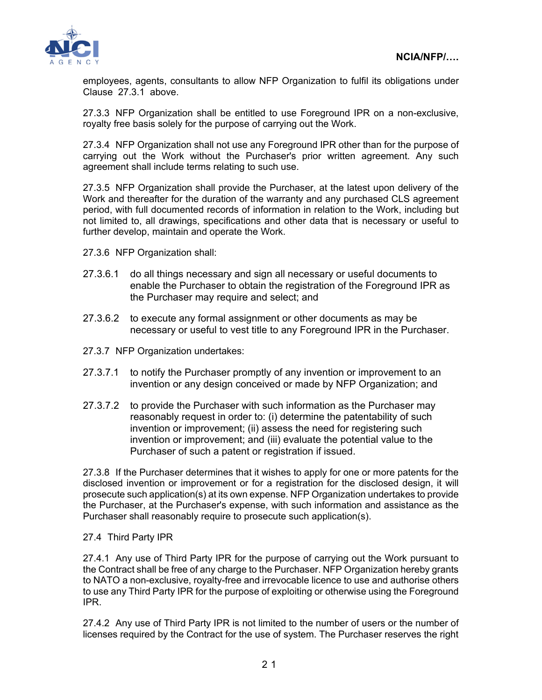

employees, agents, consultants to allow NFP Organization to fulfil its obligations under Clause 27.3.1 above.

27.3.3 NFP Organization shall be entitled to use Foreground IPR on a non-exclusive, royalty free basis solely for the purpose of carrying out the Work.

27.3.4 NFP Organization shall not use any Foreground IPR other than for the purpose of carrying out the Work without the Purchaser's prior written agreement. Any such agreement shall include terms relating to such use.

27.3.5 NFP Organization shall provide the Purchaser, at the latest upon delivery of the Work and thereafter for the duration of the warranty and any purchased CLS agreement period, with full documented records of information in relation to the Work, including but not limited to, all drawings, specifications and other data that is necessary or useful to further develop, maintain and operate the Work.

- 27.3.6 NFP Organization shall:
- 27.3.6.1 do all things necessary and sign all necessary or useful documents to enable the Purchaser to obtain the registration of the Foreground IPR as the Purchaser may require and select; and
- 27.3.6.2 to execute any formal assignment or other documents as may be necessary or useful to vest title to any Foreground IPR in the Purchaser.
- 27.3.7 NFP Organization undertakes:
- 27.3.7.1 to notify the Purchaser promptly of any invention or improvement to an invention or any design conceived or made by NFP Organization; and
- 27.3.7.2 to provide the Purchaser with such information as the Purchaser may reasonably request in order to: (i) determine the patentability of such invention or improvement; (ii) assess the need for registering such invention or improvement; and (iii) evaluate the potential value to the Purchaser of such a patent or registration if issued.

27.3.8 If the Purchaser determines that it wishes to apply for one or more patents for the disclosed invention or improvement or for a registration for the disclosed design, it will prosecute such application(s) at its own expense. NFP Organization undertakes to provide the Purchaser, at the Purchaser's expense, with such information and assistance as the Purchaser shall reasonably require to prosecute such application(s).

27.4 Third Party IPR

27.4.1 Any use of Third Party IPR for the purpose of carrying out the Work pursuant to the Contract shall be free of any charge to the Purchaser. NFP Organization hereby grants to NATO a non-exclusive, royalty-free and irrevocable licence to use and authorise others to use any Third Party IPR for the purpose of exploiting or otherwise using the Foreground IPR.

27.4.2 Any use of Third Party IPR is not limited to the number of users or the number of licenses required by the Contract for the use of system. The Purchaser reserves the right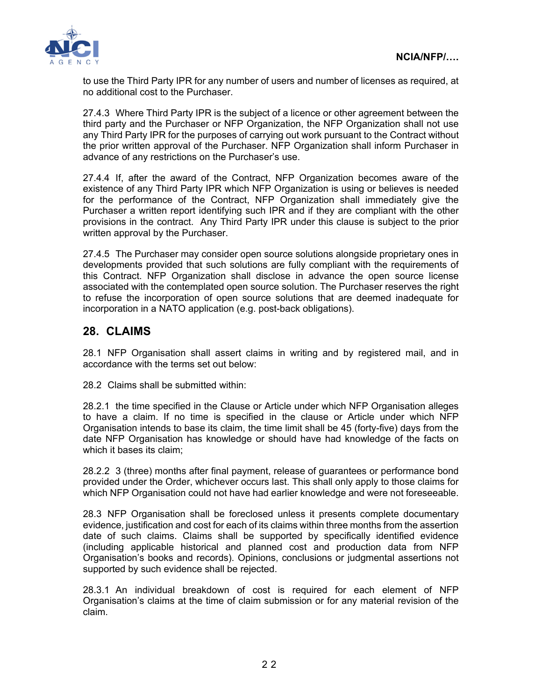

to use the Third Party IPR for any number of users and number of licenses as required, at no additional cost to the Purchaser.

27.4.3 Where Third Party IPR is the subject of a licence or other agreement between the third party and the Purchaser or NFP Organization, the NFP Organization shall not use any Third Party IPR for the purposes of carrying out work pursuant to the Contract without the prior written approval of the Purchaser. NFP Organization shall inform Purchaser in advance of any restrictions on the Purchaser's use.

27.4.4 If, after the award of the Contract, NFP Organization becomes aware of the existence of any Third Party IPR which NFP Organization is using or believes is needed for the performance of the Contract, NFP Organization shall immediately give the Purchaser a written report identifying such IPR and if they are compliant with the other provisions in the contract. Any Third Party IPR under this clause is subject to the prior written approval by the Purchaser.

27.4.5 The Purchaser may consider open source solutions alongside proprietary ones in developments provided that such solutions are fully compliant with the requirements of this Contract. NFP Organization shall disclose in advance the open source license associated with the contemplated open source solution. The Purchaser reserves the right to refuse the incorporation of open source solutions that are deemed inadequate for incorporation in a NATO application (e.g. post-back obligations).

### **28. CLAIMS**

28.1 NFP Organisation shall assert claims in writing and by registered mail, and in accordance with the terms set out below:

28.2 Claims shall be submitted within:

28.2.1 the time specified in the Clause or Article under which NFP Organisation alleges to have a claim. If no time is specified in the clause or Article under which NFP Organisation intends to base its claim, the time limit shall be 45 (forty-five) days from the date NFP Organisation has knowledge or should have had knowledge of the facts on which it bases its claim;

28.2.2 3 (three) months after final payment, release of guarantees or performance bond provided under the Order, whichever occurs last. This shall only apply to those claims for which NFP Organisation could not have had earlier knowledge and were not foreseeable.

28.3 NFP Organisation shall be foreclosed unless it presents complete documentary evidence, justification and cost for each of its claims within three months from the assertion date of such claims. Claims shall be supported by specifically identified evidence (including applicable historical and planned cost and production data from NFP Organisation's books and records). Opinions, conclusions or judgmental assertions not supported by such evidence shall be rejected.

28.3.1 An individual breakdown of cost is required for each element of NFP Organisation's claims at the time of claim submission or for any material revision of the claim.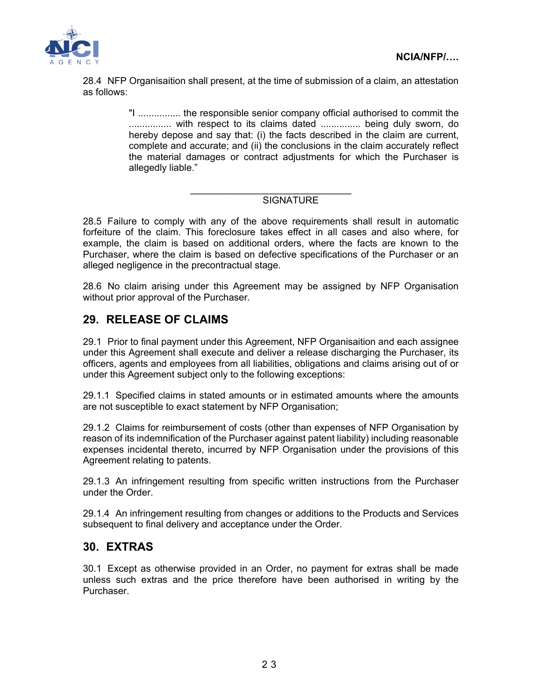

28.4 NFP Organisaition shall present, at the time of submission of a claim, an attestation as follows:

> "I ................ the responsible senior company official authorised to commit the ................ with respect to its claims dated ............... being duly sworn, do hereby depose and say that: (i) the facts described in the claim are current, complete and accurate; and (ii) the conclusions in the claim accurately reflect the material damages or contract adjustments for which the Purchaser is allegedly liable."

#### \_\_\_\_\_\_\_\_\_\_\_\_\_\_\_\_\_\_\_\_\_\_\_\_\_\_\_\_\_ **SIGNATURE**

28.5 Failure to comply with any of the above requirements shall result in automatic forfeiture of the claim. This foreclosure takes effect in all cases and also where, for example, the claim is based on additional orders, where the facts are known to the Purchaser, where the claim is based on defective specifications of the Purchaser or an alleged negligence in the precontractual stage.

28.6 No claim arising under this Agreement may be assigned by NFP Organisation without prior approval of the Purchaser.

## **29. RELEASE OF CLAIMS**

29.1 Prior to final payment under this Agreement, NFP Organisaition and each assignee under this Agreement shall execute and deliver a release discharging the Purchaser, its officers, agents and employees from all liabilities, obligations and claims arising out of or under this Agreement subject only to the following exceptions:

29.1.1 Specified claims in stated amounts or in estimated amounts where the amounts are not susceptible to exact statement by NFP Organisation;

29.1.2 Claims for reimbursement of costs (other than expenses of NFP Organisation by reason of its indemnification of the Purchaser against patent liability) including reasonable expenses incidental thereto, incurred by NFP Organisation under the provisions of this Agreement relating to patents.

29.1.3 An infringement resulting from specific written instructions from the Purchaser under the Order.

29.1.4 An infringement resulting from changes or additions to the Products and Services subsequent to final delivery and acceptance under the Order.

## **30. EXTRAS**

30.1 Except as otherwise provided in an Order, no payment for extras shall be made unless such extras and the price therefore have been authorised in writing by the Purchaser.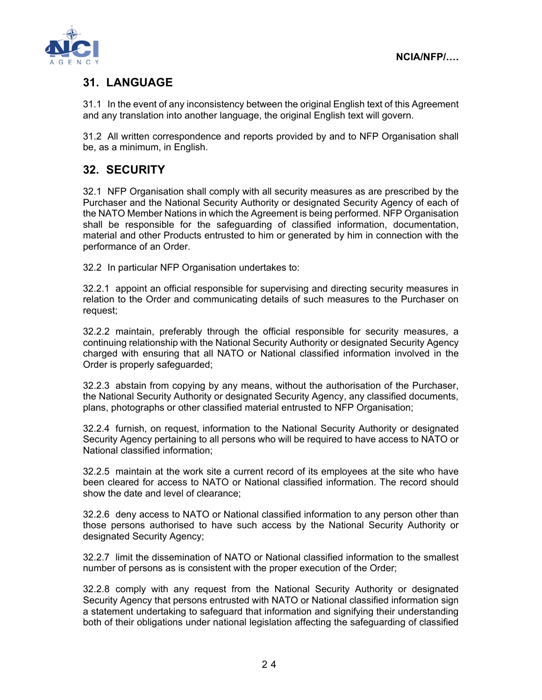

# **31. LANGUAGE**

31.1 In the event of any inconsistency between the original English text of this Agreement and any translation into another language, the original English text will govern.

31.2 All written correspondence and reports provided by and to NFP Organisation shall be, as a minimum, in English.

# **32. SECURITY**

32.1 NFP Organisation shall comply with all security measures as are prescribed by the Purchaser and the National Security Authority or designated Security Agency of each of the NATO Member Nations in which the Agreement is being performed. NFP Organisation shall be responsible for the safeguarding of classified information, documentation, material and other Products entrusted to him or generated by him in connection with the performance of an Order.

32.2 In particular NFP Organisation undertakes to:

32.2.1 appoint an official responsible for supervising and directing security measures in relation to the Order and communicating details of such measures to the Purchaser on request;

32.2.2 maintain, preferably through the official responsible for security measures, a continuing relationship with the National Security Authority or designated Security Agency charged with ensuring that all NATO or National classified information involved in the Order is properly safeguarded;

32.2.3 abstain from copying by any means, without the authorisation of the Purchaser, the National Security Authority or designated Security Agency, any classified documents, plans, photographs or other classified material entrusted to NFP Organisation;

32.2.4 furnish, on request, information to the National Security Authority or designated Security Agency pertaining to all persons who will be required to have access to NATO or National classified information;

32.2.5 maintain at the work site a current record of its employees at the site who have been cleared for access to NATO or National classified information. The record should show the date and level of clearance;

32.2.6 deny access to NATO or National classified information to any person other than those persons authorised to have such access by the National Security Authority or designated Security Agency;

32.2.7 limit the dissemination of NATO or National classified information to the smallest number of persons as is consistent with the proper execution of the Order;

32.2.8 comply with any request from the National Security Authority or designated Security Agency that persons entrusted with NATO or National classified information sign a statement undertaking to safeguard that information and signifying their understanding both of their obligations under national legislation affecting the safeguarding of classified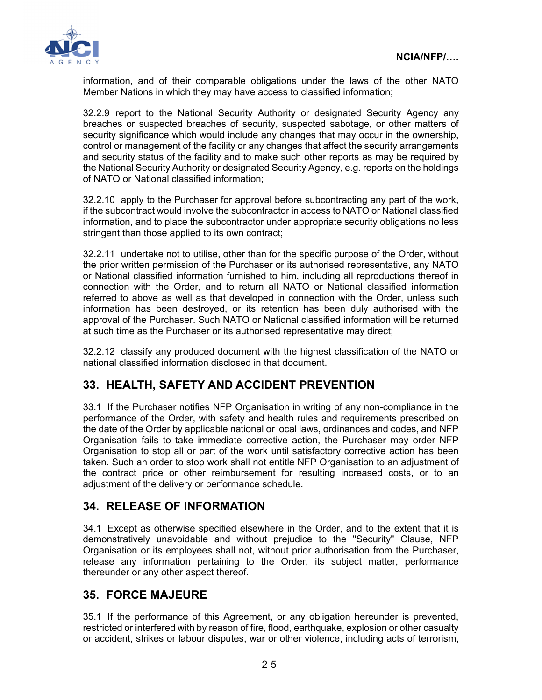

information, and of their comparable obligations under the laws of the other NATO Member Nations in which they may have access to classified information;

32.2.9 report to the National Security Authority or designated Security Agency any breaches or suspected breaches of security, suspected sabotage, or other matters of security significance which would include any changes that may occur in the ownership, control or management of the facility or any changes that affect the security arrangements and security status of the facility and to make such other reports as may be required by the National Security Authority or designated Security Agency, e.g. reports on the holdings of NATO or National classified information;

32.2.10 apply to the Purchaser for approval before subcontracting any part of the work, if the subcontract would involve the subcontractor in access to NATO or National classified information, and to place the subcontractor under appropriate security obligations no less stringent than those applied to its own contract;

32.2.11 undertake not to utilise, other than for the specific purpose of the Order, without the prior written permission of the Purchaser or its authorised representative, any NATO or National classified information furnished to him, including all reproductions thereof in connection with the Order, and to return all NATO or National classified information referred to above as well as that developed in connection with the Order, unless such information has been destroyed, or its retention has been duly authorised with the approval of the Purchaser. Such NATO or National classified information will be returned at such time as the Purchaser or its authorised representative may direct;

32.2.12 classify any produced document with the highest classification of the NATO or national classified information disclosed in that document.

## **33. HEALTH, SAFETY AND ACCIDENT PREVENTION**

33.1 If the Purchaser notifies NFP Organisation in writing of any non-compliance in the performance of the Order, with safety and health rules and requirements prescribed on the date of the Order by applicable national or local laws, ordinances and codes, and NFP Organisation fails to take immediate corrective action, the Purchaser may order NFP Organisation to stop all or part of the work until satisfactory corrective action has been taken. Such an order to stop work shall not entitle NFP Organisation to an adjustment of the contract price or other reimbursement for resulting increased costs, or to an adjustment of the delivery or performance schedule.

## **34. RELEASE OF INFORMATION**

34.1 Except as otherwise specified elsewhere in the Order, and to the extent that it is demonstratively unavoidable and without prejudice to the "Security" Clause, NFP Organisation or its employees shall not, without prior authorisation from the Purchaser, release any information pertaining to the Order, its subject matter, performance thereunder or any other aspect thereof.

## **35. FORCE MAJEURE**

35.1 If the performance of this Agreement, or any obligation hereunder is prevented, restricted or interfered with by reason of fire, flood, earthquake, explosion or other casualty or accident, strikes or labour disputes, war or other violence, including acts of terrorism,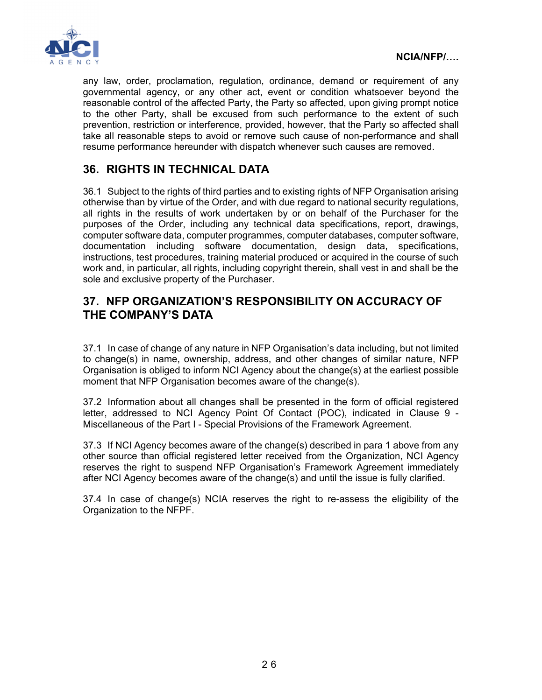

any law, order, proclamation, regulation, ordinance, demand or requirement of any governmental agency, or any other act, event or condition whatsoever beyond the reasonable control of the affected Party, the Party so affected, upon giving prompt notice to the other Party, shall be excused from such performance to the extent of such prevention, restriction or interference, provided, however, that the Party so affected shall take all reasonable steps to avoid or remove such cause of non-performance and shall resume performance hereunder with dispatch whenever such causes are removed.

# **36. RIGHTS IN TECHNICAL DATA**

36.1 Subject to the rights of third parties and to existing rights of NFP Organisation arising otherwise than by virtue of the Order, and with due regard to national security regulations, all rights in the results of work undertaken by or on behalf of the Purchaser for the purposes of the Order, including any technical data specifications, report, drawings, computer software data, computer programmes, computer databases, computer software, documentation including software documentation, design data, specifications, instructions, test procedures, training material produced or acquired in the course of such work and, in particular, all rights, including copyright therein, shall vest in and shall be the sole and exclusive property of the Purchaser.

### **37. NFP ORGANIZATION'S RESPONSIBILITY ON ACCURACY OF THE COMPANY'S DATA**

37.1 In case of change of any nature in NFP Organisation's data including, but not limited to change(s) in name, ownership, address, and other changes of similar nature, NFP Organisation is obliged to inform NCI Agency about the change(s) at the earliest possible moment that NFP Organisation becomes aware of the change(s).

37.2 Information about all changes shall be presented in the form of official registered letter, addressed to NCI Agency Point Of Contact (POC), indicated in Clause 9 - Miscellaneous of the Part I - Special Provisions of the Framework Agreement.

37.3 If NCI Agency becomes aware of the change(s) described in para 1 above from any other source than official registered letter received from the Organization, NCI Agency reserves the right to suspend NFP Organisation's Framework Agreement immediately after NCI Agency becomes aware of the change(s) and until the issue is fully clarified.

37.4 In case of change(s) NCIA reserves the right to re-assess the eligibility of the Organization to the NFPF.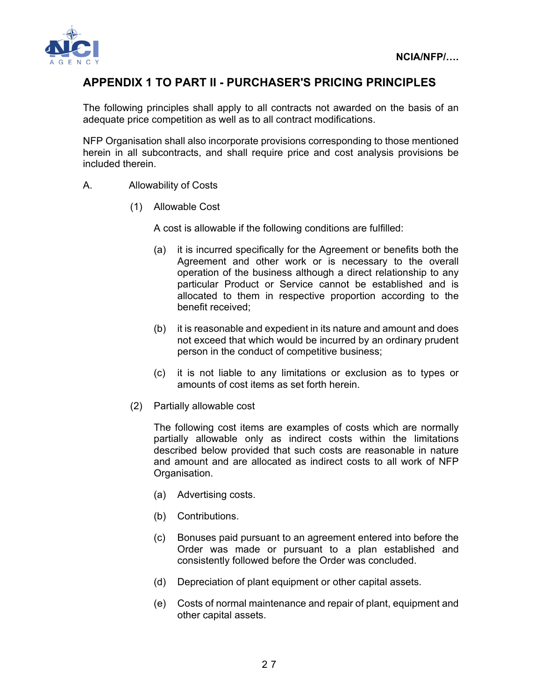

## **APPENDIX 1 TO PART II - PURCHASER'S PRICING PRINCIPLES**

The following principles shall apply to all contracts not awarded on the basis of an adequate price competition as well as to all contract modifications.

NFP Organisation shall also incorporate provisions corresponding to those mentioned herein in all subcontracts, and shall require price and cost analysis provisions be included therein.

- A. Allowability of Costs
	- (1) Allowable Cost

A cost is allowable if the following conditions are fulfilled:

- (a) it is incurred specifically for the Agreement or benefits both the Agreement and other work or is necessary to the overall operation of the business although a direct relationship to any particular Product or Service cannot be established and is allocated to them in respective proportion according to the benefit received;
- (b) it is reasonable and expedient in its nature and amount and does not exceed that which would be incurred by an ordinary prudent person in the conduct of competitive business;
- (c) it is not liable to any limitations or exclusion as to types or amounts of cost items as set forth herein.
- (2) Partially allowable cost

The following cost items are examples of costs which are normally partially allowable only as indirect costs within the limitations described below provided that such costs are reasonable in nature and amount and are allocated as indirect costs to all work of NFP Organisation.

- (a) Advertising costs.
- (b) Contributions.
- (c) Bonuses paid pursuant to an agreement entered into before the Order was made or pursuant to a plan established and consistently followed before the Order was concluded.
- (d) Depreciation of plant equipment or other capital assets.
- (e) Costs of normal maintenance and repair of plant, equipment and other capital assets.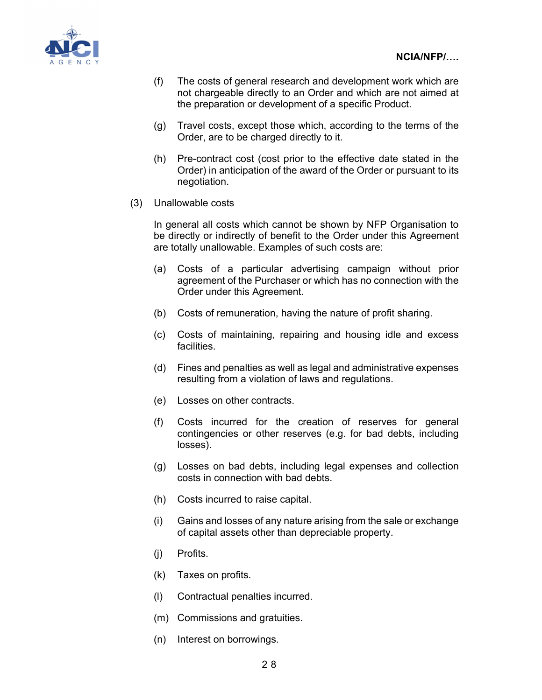

- (f) The costs of general research and development work which are not chargeable directly to an Order and which are not aimed at the preparation or development of a specific Product.
- (g) Travel costs, except those which, according to the terms of the Order, are to be charged directly to it.
- (h) Pre-contract cost (cost prior to the effective date stated in the Order) in anticipation of the award of the Order or pursuant to its negotiation.

#### (3) Unallowable costs

In general all costs which cannot be shown by NFP Organisation to be directly or indirectly of benefit to the Order under this Agreement are totally unallowable. Examples of such costs are:

- (a) Costs of a particular advertising campaign without prior agreement of the Purchaser or which has no connection with the Order under this Agreement.
- (b) Costs of remuneration, having the nature of profit sharing.
- (c) Costs of maintaining, repairing and housing idle and excess facilities.
- (d) Fines and penalties as well as legal and administrative expenses resulting from a violation of laws and regulations.
- (e) Losses on other contracts.
- (f) Costs incurred for the creation of reserves for general contingencies or other reserves (e.g. for bad debts, including losses).
- (g) Losses on bad debts, including legal expenses and collection costs in connection with bad debts.
- (h) Costs incurred to raise capital.
- (i) Gains and losses of any nature arising from the sale or exchange of capital assets other than depreciable property.
- (j) Profits.
- (k) Taxes on profits.
- (l) Contractual penalties incurred.
- (m) Commissions and gratuities.
- (n) Interest on borrowings.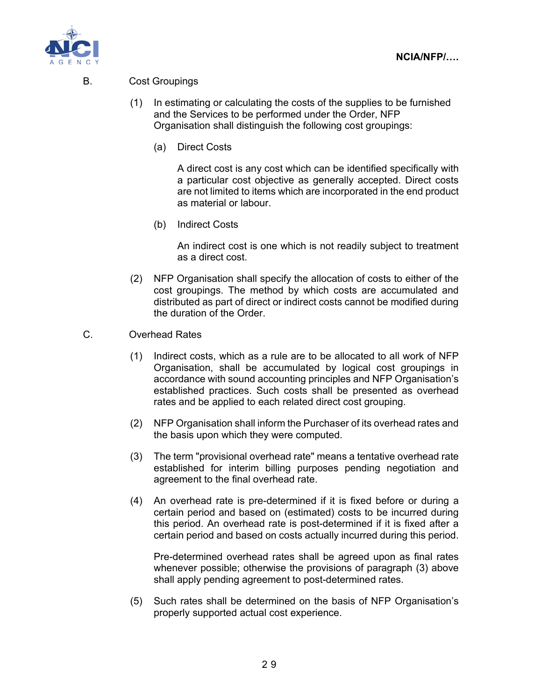

#### B. Cost Groupings

- (1) In estimating or calculating the costs of the supplies to be furnished and the Services to be performed under the Order, NFP Organisation shall distinguish the following cost groupings:
	- (a) Direct Costs

A direct cost is any cost which can be identified specifically with a particular cost objective as generally accepted. Direct costs are not limited to items which are incorporated in the end product as material or labour.

(b) Indirect Costs

An indirect cost is one which is not readily subject to treatment as a direct cost.

- (2) NFP Organisation shall specify the allocation of costs to either of the cost groupings. The method by which costs are accumulated and distributed as part of direct or indirect costs cannot be modified during the duration of the Order.
- C. Overhead Rates
	- (1) Indirect costs, which as a rule are to be allocated to all work of NFP Organisation, shall be accumulated by logical cost groupings in accordance with sound accounting principles and NFP Organisation's established practices. Such costs shall be presented as overhead rates and be applied to each related direct cost grouping.
	- (2) NFP Organisation shall inform the Purchaser of its overhead rates and the basis upon which they were computed.
	- (3) The term "provisional overhead rate" means a tentative overhead rate established for interim billing purposes pending negotiation and agreement to the final overhead rate.
	- (4) An overhead rate is pre-determined if it is fixed before or during a certain period and based on (estimated) costs to be incurred during this period. An overhead rate is post-determined if it is fixed after a certain period and based on costs actually incurred during this period.

Pre-determined overhead rates shall be agreed upon as final rates whenever possible; otherwise the provisions of paragraph (3) above shall apply pending agreement to post-determined rates.

(5) Such rates shall be determined on the basis of NFP Organisation's properly supported actual cost experience.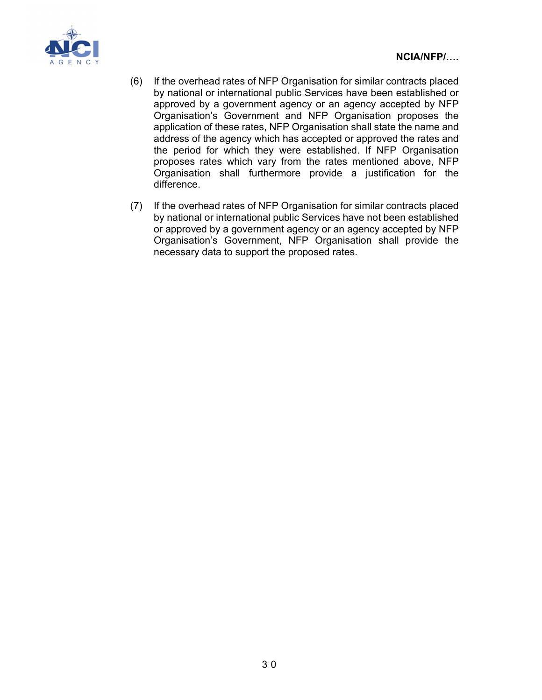

- (6) If the overhead rates of NFP Organisation for similar contracts placed by national or international public Services have been established or approved by a government agency or an agency accepted by NFP Organisation's Government and NFP Organisation proposes the application of these rates, NFP Organisation shall state the name and address of the agency which has accepted or approved the rates and the period for which they were established. If NFP Organisation proposes rates which vary from the rates mentioned above, NFP Organisation shall furthermore provide a justification for the difference.
- (7) If the overhead rates of NFP Organisation for similar contracts placed by national or international public Services have not been established or approved by a government agency or an agency accepted by NFP Organisation's Government, NFP Organisation shall provide the necessary data to support the proposed rates.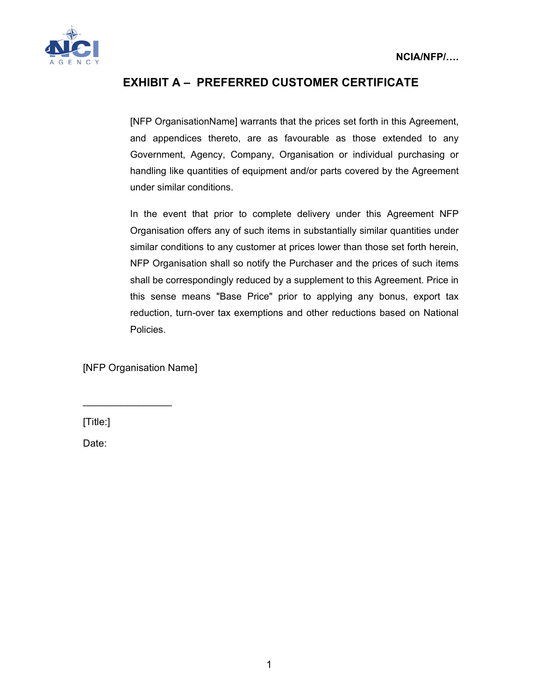

# **EXHIBIT A – PREFERRED CUSTOMER CERTIFICATE**

[NFP OrganisationName] warrants that the prices set forth in this Agreement, and appendices thereto, are as favourable as those extended to any Government, Agency, Company, Organisation or individual purchasing or handling like quantities of equipment and/or parts covered by the Agreement under similar conditions.

In the event that prior to complete delivery under this Agreement NFP Organisation offers any of such items in substantially similar quantities under similar conditions to any customer at prices lower than those set forth herein, NFP Organisation shall so notify the Purchaser and the prices of such items shall be correspondingly reduced by a supplement to this Agreement. Price in this sense means "Base Price" prior to applying any bonus, export tax reduction, turn-over tax exemptions and other reductions based on National Policies.

[NFP Organisation Name]

 $\frac{1}{2}$ 

[Title:]

Date: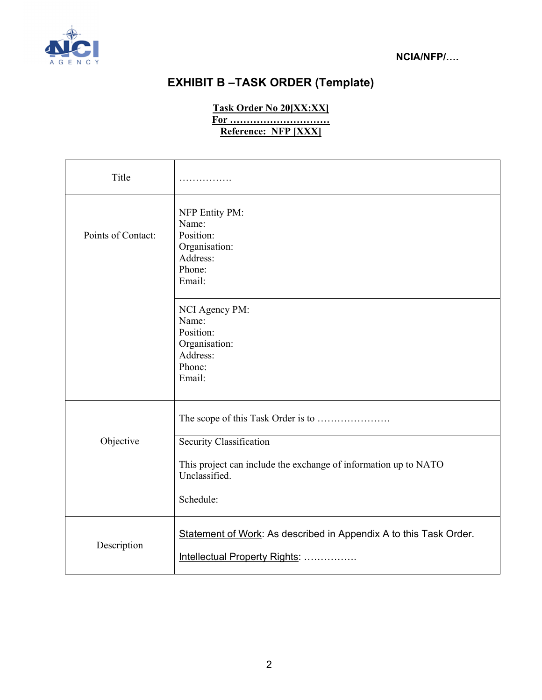

# **EXHIBIT B –TASK ORDER (Template)**

**Task Order No 20[XX:XX]** 

**For ………………………… Reference: NFP [XXX]** 

| Title              | .                                                                                                                        |
|--------------------|--------------------------------------------------------------------------------------------------------------------------|
| Points of Contact: | NFP Entity PM:<br>Name:<br>Position:<br>Organisation:<br>Address:<br>Phone:<br>Email:                                    |
|                    | NCI Agency PM:<br>Name:<br>Position:<br>Organisation:<br>Address:<br>Phone:<br>Email:                                    |
| Objective          | Security Classification<br>This project can include the exchange of information up to NATO<br>Unclassified.<br>Schedule: |
| Description        | Statement of Work: As described in Appendix A to this Task Order.<br>Intellectual Property Rights:                       |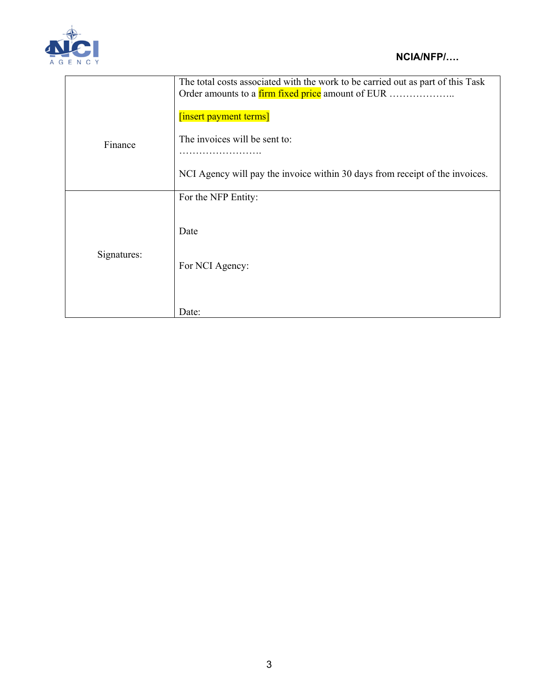

|             | The total costs associated with the work to be carried out as part of this Task |
|-------------|---------------------------------------------------------------------------------|
|             | Order amounts to a firm fixed price amount of EUR                               |
|             | [insert payment terms]                                                          |
| Finance     | The invoices will be sent to:                                                   |
|             | .                                                                               |
|             | NCI Agency will pay the invoice within 30 days from receipt of the invoices.    |
|             | For the NFP Entity:                                                             |
|             |                                                                                 |
|             | Date                                                                            |
| Signatures: |                                                                                 |
|             | For NCI Agency:                                                                 |
|             |                                                                                 |
|             |                                                                                 |
|             | Date:                                                                           |